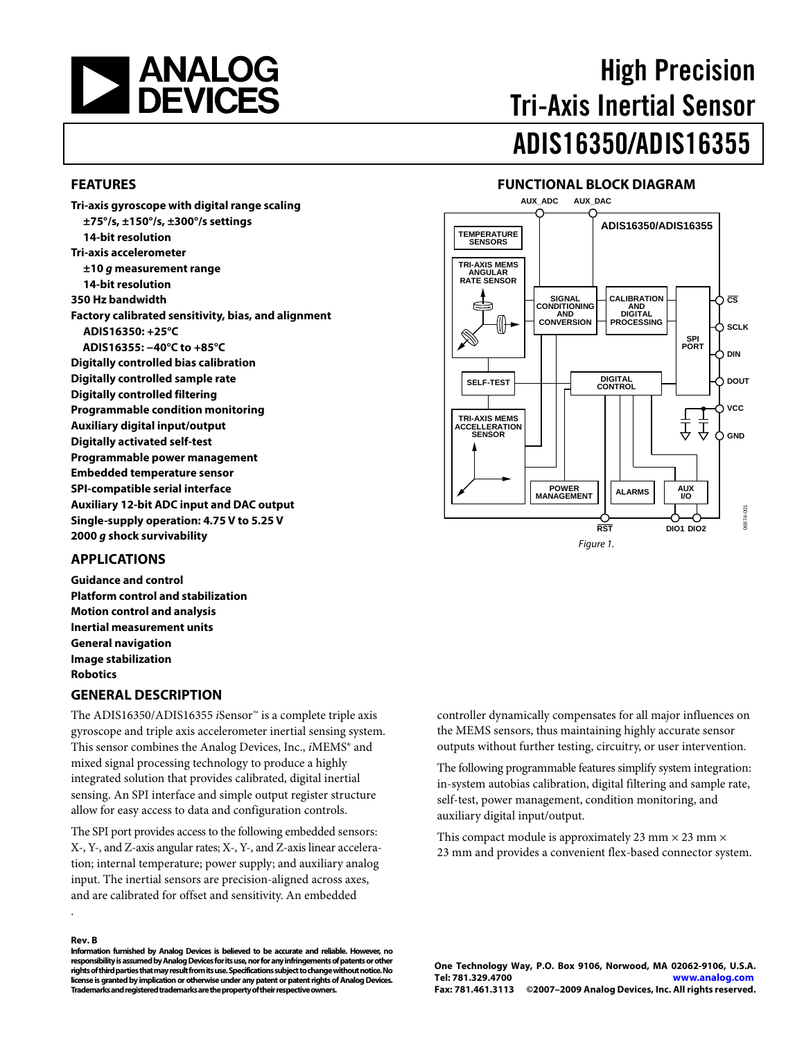<span id="page-0-0"></span>

# High Precision Tri-Axis Inertial Sensor ADIS16350/ADIS16355

#### **FEATURES**

**Tri-axis gyroscope with digital range scaling ±75°/s, ±150°/s, ±300°/s settings 14-bit resolution Tri-axis accelerometer ±10 g measurement range 14-bit resolution 350 Hz bandwidth Factory calibrated sensitivity, bias, and alignment ADIS16350: +25°C ADIS16355: −40°C to +85°C Digitally controlled bias calibration Digitally controlled sample rate Digitally controlled filtering Programmable condition monitoring Auxiliary digital input/output Digitally activated self-test Programmable power management Embedded temperature sensor SPI-compatible serial interface Auxiliary 12-bit ADC input and DAC output Single-supply operation: 4.75 V to 5.25 V 2000 g shock survivability** 

#### **FUNCTIONAL BLOCK DIAGRAM AUX\_ADC AUX\_DAC**



#### **APPLICATIONS**

**Guidance and control Platform control and stabilization Motion control and analysis Inertial measurement units General navigation Image stabilization Robotics** 

#### **GENERAL DESCRIPTION**

The ADIS16350/ADIS16355 *i*Sensor™ is a complete triple axis gyroscope and triple axis accelerometer inertial sensing system. This sensor combines the Analog Devices, Inc., *i*MEMS® and mixed signal processing technology to produce a highly integrated solution that provides calibrated, digital inertial sensing. An SPI interface and simple output register structure allow for easy access to data and configuration controls.

The SPI port provides access to the following embedded sensors: X-, Y-, and Z-axis angular rates; X-, Y-, and Z-axis linear acceleration; internal temperature; power supply; and auxiliary analog input. The inertial sensors are precision-aligned across axes, and are calibrated for offset and sensitivity. An embedded

#### **Rev. B**

.

**Information furnished by Analog Devices is believed to be accurate and reliable. However, no responsibility is assumed by Analog Devices for its use, nor for any infringements of patents or other rights of third parties that may result from its use. Specifications subject to change without notice. No license is granted by implication or otherwise under any patent or patent rights of Analog Devices. Trademarks and registered trademarks are the property of their respective owners.** 

controller dynamically compensates for all major influences on the MEMS sensors, thus maintaining highly accurate sensor outputs without further testing, circuitry, or user intervention.

The following programmable features simplify system integration: in-system autobias calibration, digital filtering and sample rate, self-test, power management, condition monitoring, and auxiliary digital input/output.

This compact module is approximately 23 mm  $\times$  23 mm  $\times$ 23 mm and provides a convenient flex-based connector system.

**One Technology Way, P.O. Box 9106, Norwood, MA 02062-9106, U.S.A. Tel: 781.329.4700 www.analog.com Fax: 781.461.3113 ©2007–2009 Analog Devices, Inc. All rights reserved.**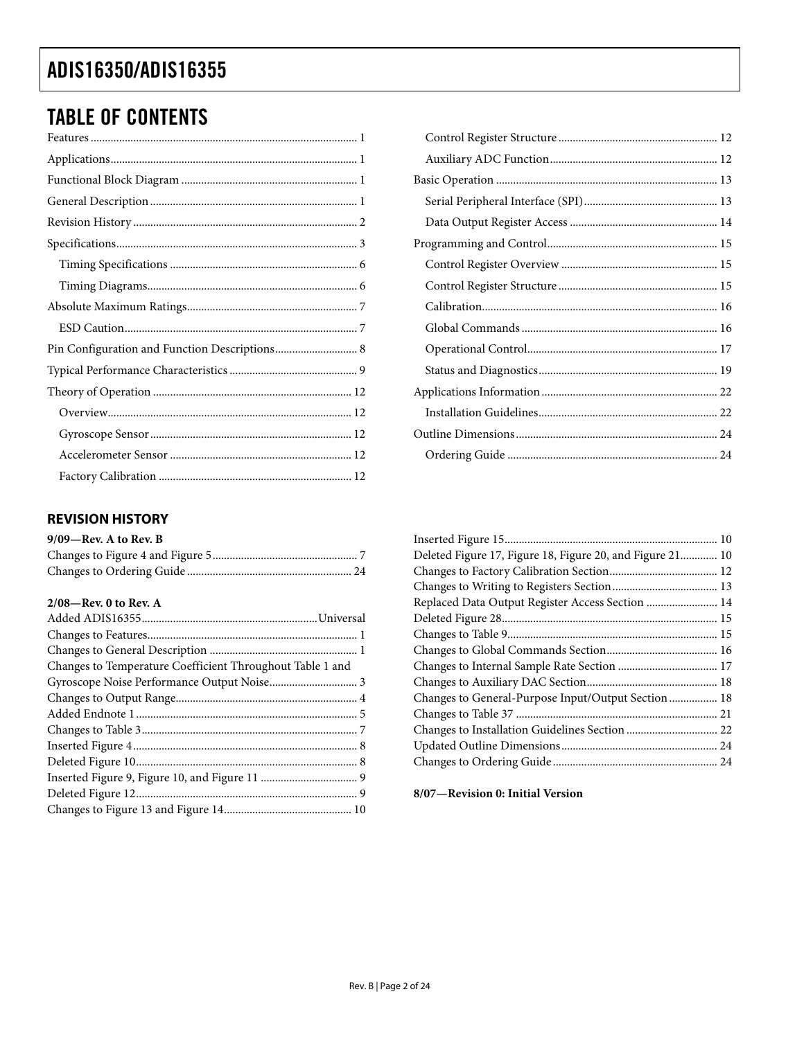## <span id="page-1-0"></span>**TABLE OF CONTENTS**

| Pin Configuration and Function Descriptions 8 |
|-----------------------------------------------|
|                                               |
|                                               |
|                                               |
|                                               |
|                                               |
|                                               |

### **REVISION HISTORY**

| $9/09$ —Rev. A to Rev. B |  |
|--------------------------|--|
|                          |  |
|                          |  |

#### 2/08-Rev. 0 to Rev. A

| Changes to Temperature Coefficient Throughout Table 1 and |  |
|-----------------------------------------------------------|--|
|                                                           |  |
|                                                           |  |
|                                                           |  |
|                                                           |  |
|                                                           |  |
|                                                           |  |
|                                                           |  |
|                                                           |  |
|                                                           |  |

| Deleted Figure 17, Figure 18, Figure 20, and Figure 21 10 |  |
|-----------------------------------------------------------|--|
|                                                           |  |
|                                                           |  |
| Replaced Data Output Register Access Section  14          |  |
|                                                           |  |
|                                                           |  |
|                                                           |  |
|                                                           |  |
|                                                           |  |
| Changes to General-Purpose Input/Output Section 18        |  |
|                                                           |  |
|                                                           |  |
|                                                           |  |
|                                                           |  |
|                                                           |  |

8/07-Revision 0: Initial Version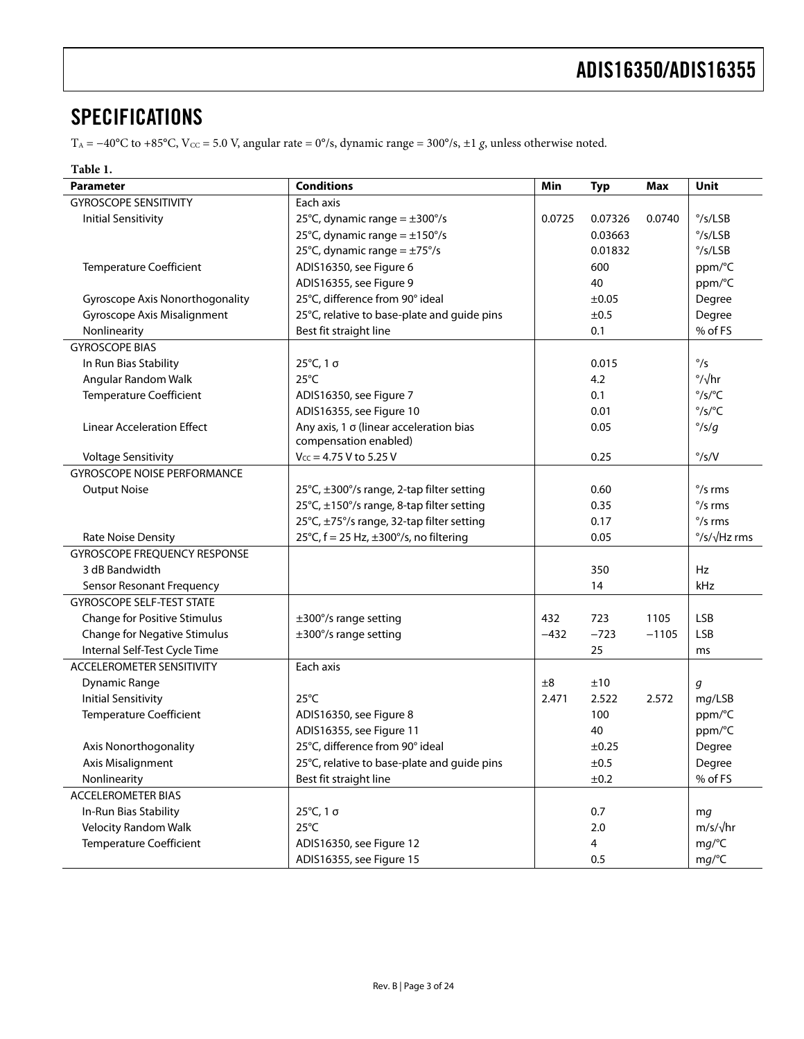### <span id="page-2-0"></span>**SPECIFICATIONS**

T<sub>A</sub> = −40°C to +85°C, V<sub>cc</sub> = 5.0 V, angular rate = 0°/s, dynamic range = 300°/s, ±1 g, unless otherwise noted.

#### **Table 1.**

| Parameter                           | <b>Conditions</b><br>Min<br><b>Typ</b><br><b>Max</b>                     |            |         |                  | <b>Unit</b>                                       |  |
|-------------------------------------|--------------------------------------------------------------------------|------------|---------|------------------|---------------------------------------------------|--|
| <b>GYROSCOPE SENSITIVITY</b>        | Each axis                                                                |            |         |                  |                                                   |  |
| <b>Initial Sensitivity</b>          | 25°C, dynamic range = $\pm 300^{\circ}/s$<br>0.07326<br>0.0725<br>0.0740 |            |         |                  | $\degree$ /s/LSB                                  |  |
|                                     | 25°C, dynamic range = $\pm$ 150°/s                                       | 0.03663    |         | $\degree$ /s/LSB |                                                   |  |
|                                     | 25°C, dynamic range = $\pm$ 75°/s                                        |            | 0.01832 |                  | $\degree$ /s/LSB                                  |  |
| <b>Temperature Coefficient</b>      | ADIS16350, see Figure 6                                                  |            | 600     |                  | ppm/°C                                            |  |
|                                     | ADIS16355, see Figure 9                                                  |            | 40      |                  | ppm/°C                                            |  |
| Gyroscope Axis Nonorthogonality     | 25°C, difference from 90° ideal                                          |            | ±0.05   |                  | Degree                                            |  |
| <b>Gyroscope Axis Misalignment</b>  | 25°C, relative to base-plate and guide pins                              |            | ±0.5    |                  | Degree                                            |  |
| Nonlinearity                        | Best fit straight line                                                   |            | 0.1     |                  | % of FS                                           |  |
| <b>GYROSCOPE BIAS</b>               |                                                                          |            |         |                  |                                                   |  |
| In Run Bias Stability               | 25°C, 1 σ                                                                |            | 0.015   |                  | $\degree$ /s                                      |  |
| Angular Random Walk                 | $25^{\circ}$ C                                                           |            | 4.2     |                  | $\degree/\sqrt{hr}$                               |  |
| <b>Temperature Coefficient</b>      | ADIS16350, see Figure 7                                                  |            | 0.1     |                  | $\degree$ /s/ $\degree$ C                         |  |
|                                     | ADIS16355, see Figure 10                                                 |            | 0.01    |                  | $\degree$ /s/ $\degree$ C                         |  |
| <b>Linear Acceleration Effect</b>   | Any axis, 1 o (linear acceleration bias<br>compensation enabled)         |            | 0.05    |                  | $\degree$ /s/g                                    |  |
| <b>Voltage Sensitivity</b>          | $V_{CC}$ = 4.75 V to 5.25 V                                              |            | 0.25    |                  | $\degree$ /s/V                                    |  |
| <b>GYROSCOPE NOISE PERFORMANCE</b>  |                                                                          |            |         |                  |                                                   |  |
| <b>Output Noise</b>                 | 25°C, ±300°/s range, 2-tap filter setting                                | 0.60       |         |                  | $\degree$ /s rms                                  |  |
|                                     | 25°C, ±150°/s range, 8-tap filter setting                                |            | 0.35    |                  | $\degree$ /s rms                                  |  |
|                                     | 25°C, ±75°/s range, 32-tap filter setting<br>0.17                        |            |         | $\degree$ /s rms |                                                   |  |
| <b>Rate Noise Density</b>           | 25°C, $f = 25$ Hz, $\pm 300^{\circ}/s$ , no filtering                    | 0.05       |         |                  | $\frac{\circ}{\mathsf{S}}/\sqrt{\mathsf{Hz}}$ rms |  |
| <b>GYROSCOPE FREQUENCY RESPONSE</b> |                                                                          |            |         |                  |                                                   |  |
| 3 dB Bandwidth                      |                                                                          | 350        |         | Hz               |                                                   |  |
| Sensor Resonant Frequency           |                                                                          |            | 14      |                  | kHz                                               |  |
| <b>GYROSCOPE SELF-TEST STATE</b>    |                                                                          |            |         |                  |                                                   |  |
| <b>Change for Positive Stimulus</b> | $\pm 300^{\circ}/s$ range setting                                        | 432        | 723     | 1105             | <b>LSB</b>                                        |  |
| <b>Change for Negative Stimulus</b> | ±300°/s range setting                                                    | $-432$     | $-723$  | $-1105$          | <b>LSB</b>                                        |  |
| Internal Self-Test Cycle Time       |                                                                          |            | 25      |                  | ms                                                |  |
| <b>ACCELEROMETER SENSITIVITY</b>    | Each axis                                                                |            |         |                  |                                                   |  |
| Dynamic Range                       |                                                                          | ±8         | ±10     |                  | g                                                 |  |
| <b>Initial Sensitivity</b>          | $25^{\circ}$ C                                                           | 2.471      | 2.522   | 2.572            | mg/LSB                                            |  |
| <b>Temperature Coefficient</b>      | ADIS16350, see Figure 8                                                  | 100        |         | ppm/°C           |                                                   |  |
|                                     | ADIS16355, see Figure 11                                                 | 40         |         | ppm/°C           |                                                   |  |
| Axis Nonorthogonality               | 25°C, difference from 90° ideal                                          | ±0.25      |         | Degree           |                                                   |  |
| Axis Misalignment                   | 25°C, relative to base-plate and guide pins                              | $\pm 0.5$  |         | Degree           |                                                   |  |
| Nonlinearity                        | Best fit straight line                                                   | ±0.2       |         |                  | % of FS                                           |  |
| <b>ACCELEROMETER BIAS</b>           |                                                                          |            |         |                  |                                                   |  |
| In-Run Bias Stability               | 25°C, 1 σ                                                                | 0.7        |         | mg               |                                                   |  |
| Velocity Random Walk                | $25^{\circ}$ C                                                           | 2.0        |         | $m/s/\sqrt{hr}$  |                                                   |  |
| <b>Temperature Coefficient</b>      | ADIS16350, see Figure 12                                                 | mg/°C<br>4 |         |                  |                                                   |  |
|                                     | ADIS16355, see Figure 15                                                 |            | 0.5     |                  | mg/°C                                             |  |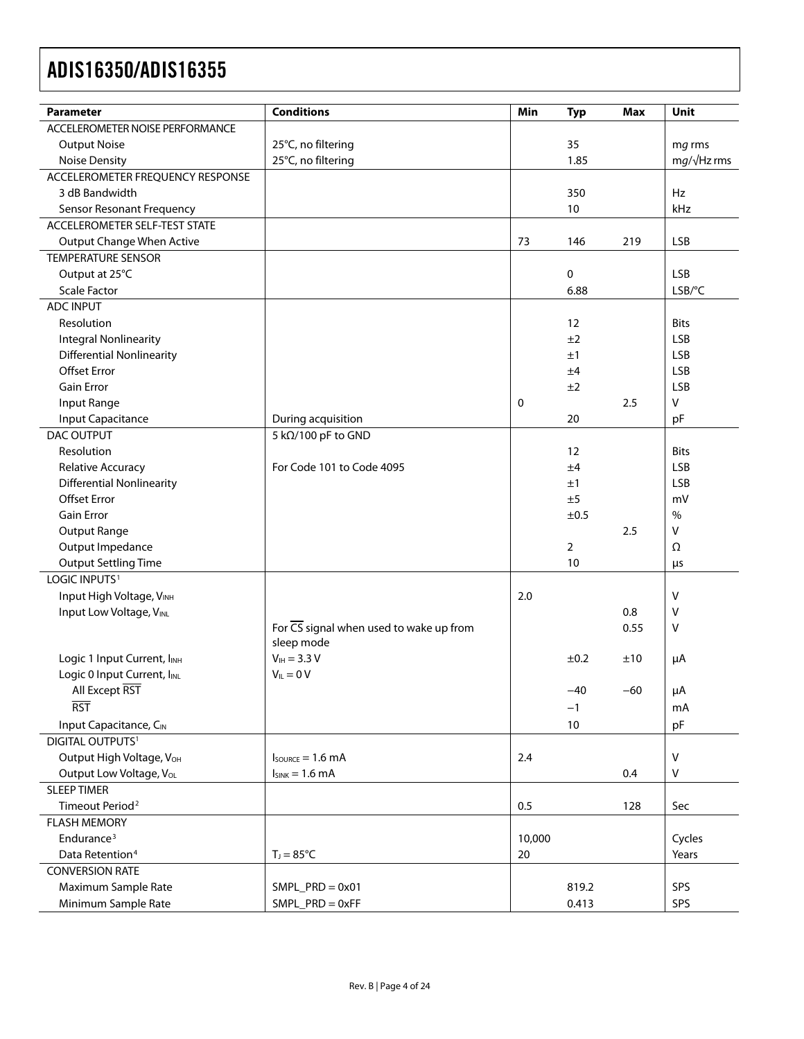| <b>Parameter</b>                     | <b>Conditions</b>                                           | Min         | <b>Typ</b>     | <b>Max</b> | Unit               |
|--------------------------------------|-------------------------------------------------------------|-------------|----------------|------------|--------------------|
| ACCELEROMETER NOISE PERFORMANCE      |                                                             |             |                |            |                    |
| <b>Output Noise</b>                  | 25°C, no filtering                                          |             | 35             |            | mg rms             |
| <b>Noise Density</b>                 | 25°C, no filtering<br>1.85                                  |             |                |            | $mg/\sqrt{Hz}$ rms |
| ACCELEROMETER FREQUENCY RESPONSE     |                                                             |             |                |            |                    |
| 3 dB Bandwidth                       |                                                             |             | 350            |            | Hz                 |
| <b>Sensor Resonant Frequency</b>     |                                                             |             | 10             |            | kHz                |
| ACCELEROMETER SELF-TEST STATE        |                                                             |             |                |            |                    |
| <b>Output Change When Active</b>     |                                                             | 73          | 146            | 219        | <b>LSB</b>         |
| <b>TEMPERATURE SENSOR</b>            |                                                             |             |                |            |                    |
| Output at 25°C                       |                                                             |             | 0              |            | <b>LSB</b>         |
| <b>Scale Factor</b>                  |                                                             |             | 6.88           |            | LSB/°C             |
| ADC INPUT                            |                                                             |             |                |            |                    |
| Resolution                           |                                                             |             | 12             |            | <b>Bits</b>        |
| <b>Integral Nonlinearity</b>         |                                                             |             | ±2             |            | <b>LSB</b>         |
| <b>Differential Nonlinearity</b>     |                                                             |             | ±1             |            | <b>LSB</b>         |
| <b>Offset Error</b>                  |                                                             |             | ±4             |            | <b>LSB</b>         |
| <b>Gain Error</b>                    |                                                             |             | ±2             |            | <b>LSB</b>         |
| Input Range                          |                                                             | $\mathbf 0$ |                | 2.5        | v                  |
| <b>Input Capacitance</b>             | During acquisition                                          |             | 20             |            | pF                 |
| <b>DAC OUTPUT</b>                    | 5 kΩ/100 pF to GND                                          |             |                |            |                    |
| Resolution                           |                                                             |             | 12             |            | <b>Bits</b>        |
| Relative Accuracy                    | For Code 101 to Code 4095                                   |             | ±4             |            | <b>LSB</b>         |
| <b>Differential Nonlinearity</b>     |                                                             |             | ±1             |            | <b>LSB</b>         |
| <b>Offset Error</b>                  |                                                             |             | ±5             |            | mV                 |
| Gain Error                           |                                                             |             | ±0.5           |            | $\%$               |
| Output Range                         |                                                             |             |                | 2.5        | v                  |
| Output Impedance                     |                                                             |             | $\overline{2}$ |            | Ω                  |
| <b>Output Settling Time</b>          |                                                             |             | 10             |            | μs                 |
| LOGIC INPUTS <sup>1</sup>            |                                                             |             |                |            |                    |
| Input High Voltage, VINH             |                                                             | 2.0         |                |            | $\vee$             |
| Input Low Voltage, VINL              |                                                             |             |                | 0.8        | v                  |
|                                      | For $\overline{\text{CS}}$ signal when used to wake up from |             |                | 0.55       | v                  |
|                                      | sleep mode                                                  |             |                |            |                    |
| Logic 1 Input Current, INH           | $V_{IH} = 3.3 V$                                            |             | ±0.2           | ±10        | μA                 |
| Logic 0 Input Current, IINL          | $V_{IL} = 0 V$                                              |             |                |            |                    |
| All Except RST                       |                                                             |             | $-40$          | $-60$      | μA                 |
| <b>RST</b>                           |                                                             |             | $-1$           |            | mA                 |
| Input Capacitance, CIN               |                                                             |             | 10             |            | pF                 |
| <b>DIGITAL OUTPUTS1</b>              |                                                             |             |                |            |                    |
| Output High Voltage, V <sub>OH</sub> | $I_{\text{SOWRCE}} = 1.6 \text{ mA}$                        | 2.4         |                |            | $\mathsf{V}$       |
| Output Low Voltage, Vol.             | $I_{SINK} = 1.6$ mA                                         |             |                | 0.4        | V                  |
| <b>SLEEP TIMER</b>                   |                                                             |             |                |            |                    |
| Timeout Period <sup>2</sup>          |                                                             | 0.5         |                | 128        | Sec                |
| <b>FLASH MEMORY</b>                  |                                                             |             |                |            |                    |
| Endurance <sup>3</sup>               |                                                             | 10,000      |                |            | Cycles             |
| Data Retention <sup>4</sup>          | $T_J = 85$ °C                                               | 20          |                |            | Years              |
| <b>CONVERSION RATE</b>               |                                                             |             |                |            |                    |
| Maximum Sample Rate                  | $SMPL_PRD = 0x01$                                           |             | 819.2          |            | SPS                |
| Minimum Sample Rate                  | $SMPL$ $PRD = 0xFF$                                         |             | 0.413          |            | SPS                |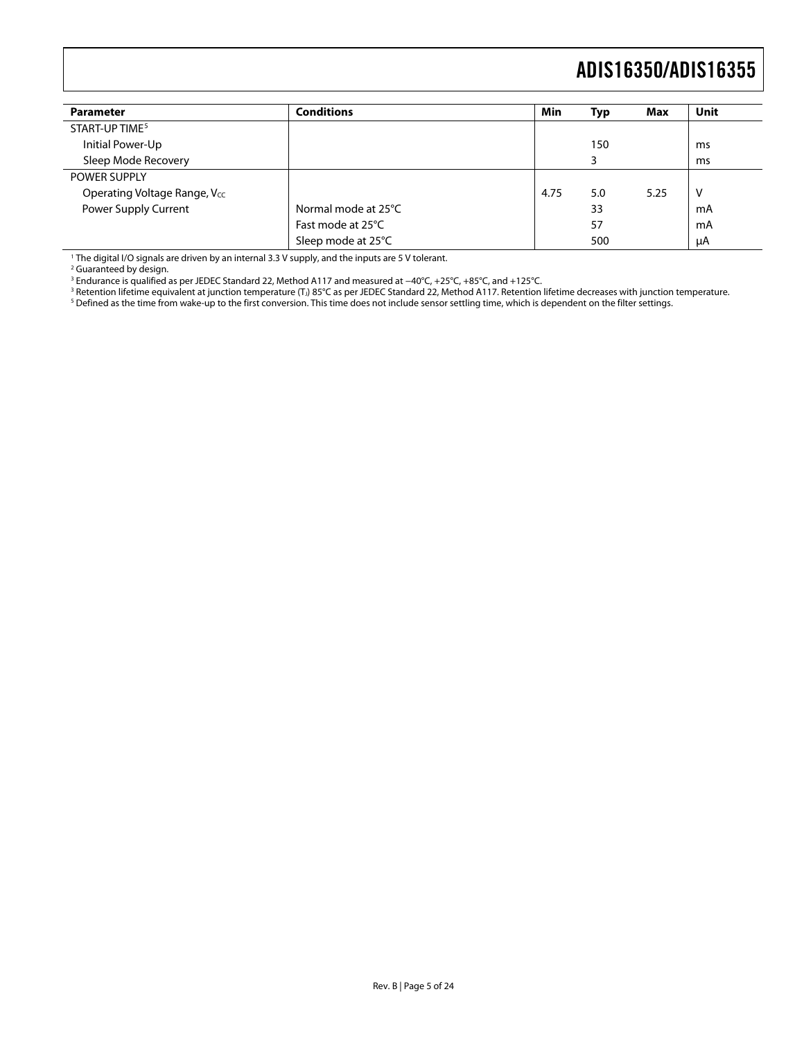<span id="page-4-0"></span>

| <b>Parameter</b>             | <b>Conditions</b>   | Min  | Typ | Max  | Unit |
|------------------------------|---------------------|------|-----|------|------|
| START-UP TIME <sup>5</sup>   |                     |      |     |      |      |
| Initial Power-Up             |                     |      | 150 |      | ms   |
| Sleep Mode Recovery          |                     |      |     |      | ms   |
| <b>POWER SUPPLY</b>          |                     |      |     |      |      |
| Operating Voltage Range, Vcc |                     | 4.75 | 5.0 | 5.25 | v    |
| Power Supply Current         | Normal mode at 25°C |      | 33  |      | mA   |
|                              | Fast mode at 25°C   |      | 57  |      | mA   |
|                              | Sleep mode at 25°C  |      | 500 |      | μA   |

1 The digital I/O signals are driven by an internal 3.3 V supply, and the inputs are 5 V tolerant.

<sup>2</sup> Guaranteed by design.

<sup>3</sup> Endurance is qualified as per JEDEC Standard 22, Method A117 and measured at −40°C, +25°C, +85°C, and +125°C.<br><sup>3</sup> Betention lifetime equivalent at junction temperature (T.) 85°C as per IEDEC Standard 22. Method A117.

<sup>3</sup> Retention lifetime equivalent at junction temperature (T.) 85°C as per JEDEC Standard 22, Method A117. Retention lifetime decreases with junction temperature.<br><sup>5</sup> Defined as the time from wake-up to the first conversio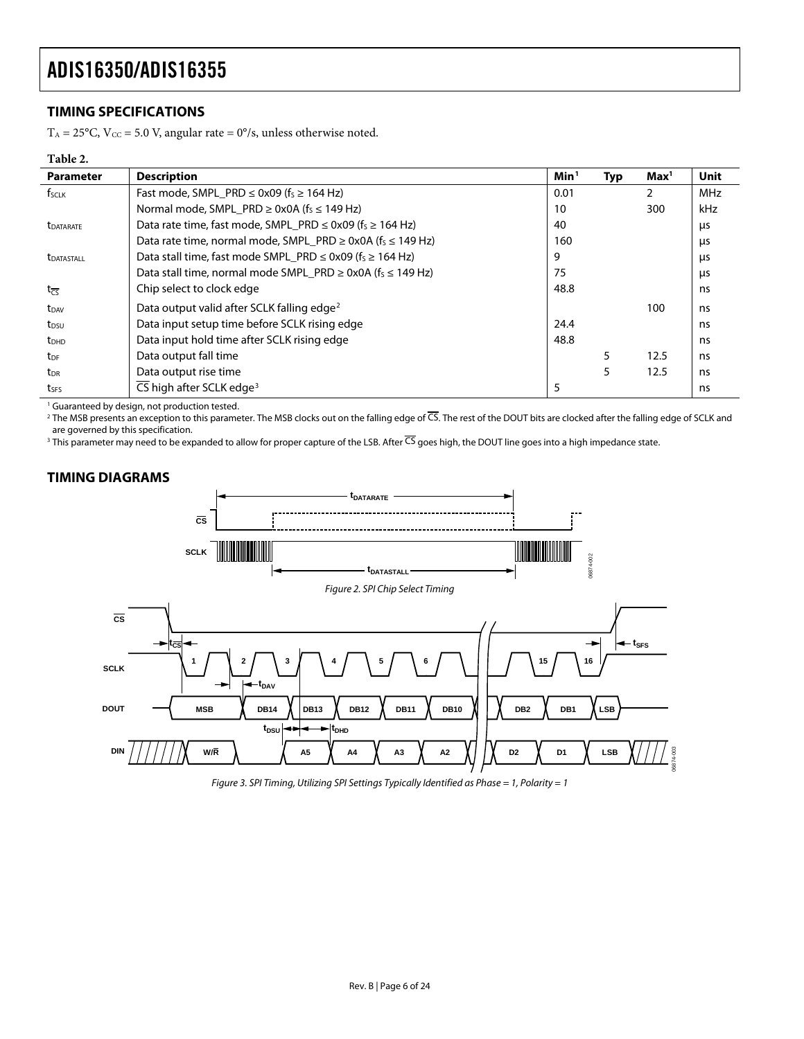#### <span id="page-5-0"></span>**TIMING SPECIFICATIONS**

 $T_A = 25^{\circ}$ C, V<sub>cC</sub> = 5.0 V, angular rate = 0°/s, unless otherwise noted.

#### **Table 2.**

<span id="page-5-1"></span>

| <b>Parameter</b>        | <b>Description</b>                                                               | Min <sup>1</sup> | <b>Typ</b> | Max <sup>1</sup> | <b>Unit</b> |
|-------------------------|----------------------------------------------------------------------------------|------------------|------------|------------------|-------------|
| f <sub>SCLK</sub>       | Fast mode, SMPL_PRD $\leq$ 0x09 (f <sub>s</sub> $\geq$ 164 Hz)                   | 0.01             |            |                  | <b>MHz</b>  |
|                         | Normal mode, SMPL PRD $\geq$ 0x0A (f <sub>S</sub> $\leq$ 149 Hz)                 | 10               |            | 300              | kHz         |
| <b><i>LDATARATE</i></b> | Data rate time, fast mode, SMPL PRD $\leq$ 0x09 (f <sub>s</sub> $\geq$ 164 Hz)   | 40               |            |                  | μs          |
|                         | Data rate time, normal mode, SMPL PRD $\geq$ 0x0A (f <sub>s</sub> $\leq$ 149 Hz) | 160              |            |                  | us          |
| <b>LDATASTALL</b>       | Data stall time, fast mode SMPL_PRD $\leq$ 0x09 (f <sub>s</sub> $\geq$ 164 Hz)   | 9                |            |                  | μs          |
|                         | Data stall time, normal mode SMPL_PRD $\geq$ 0x0A ( $f_s \leq$ 149 Hz)           | 75               |            |                  | us          |
| $t_{\overline{CS}}$     | Chip select to clock edge                                                        | 48.8             |            |                  | ns          |
| t <sub>DAV</sub>        | Data output valid after SCLK falling edge <sup>2</sup>                           |                  |            | 100              | ns          |
| t <sub>DSU</sub>        | Data input setup time before SCLK rising edge                                    | 24.4             |            |                  | ns          |
| <b>t</b> <sub>DHD</sub> | Data input hold time after SCLK rising edge                                      | 48.8             |            |                  | ns          |
| $t_{DF}$                | Data output fall time                                                            |                  |            | 12.5             | ns          |
| <b>t</b> <sub>DR</sub>  | Data output rise time                                                            |                  | 5          | 12.5             | ns          |
| t <sub>SFS</sub>        | CS high after SCLK edge <sup>3</sup>                                             | 5                |            |                  | ns          |

<sup>1</sup> Guaranteed by design, not production tested.

<sup>2</sup> The MSB presents an exception to this parameter. The MSB clocks out on the falling edge of CS. The rest of the DOUT bits are clocked after the falling edge of SCLK and are governed by this specification.

<sup>3</sup> This parameter may need to be expanded to allow for proper capture of the LSB. After CS goes high, the DOUT line goes into a high impedance state.



### <span id="page-5-2"></span>**TIMING DIAGRAMS**

<span id="page-5-3"></span>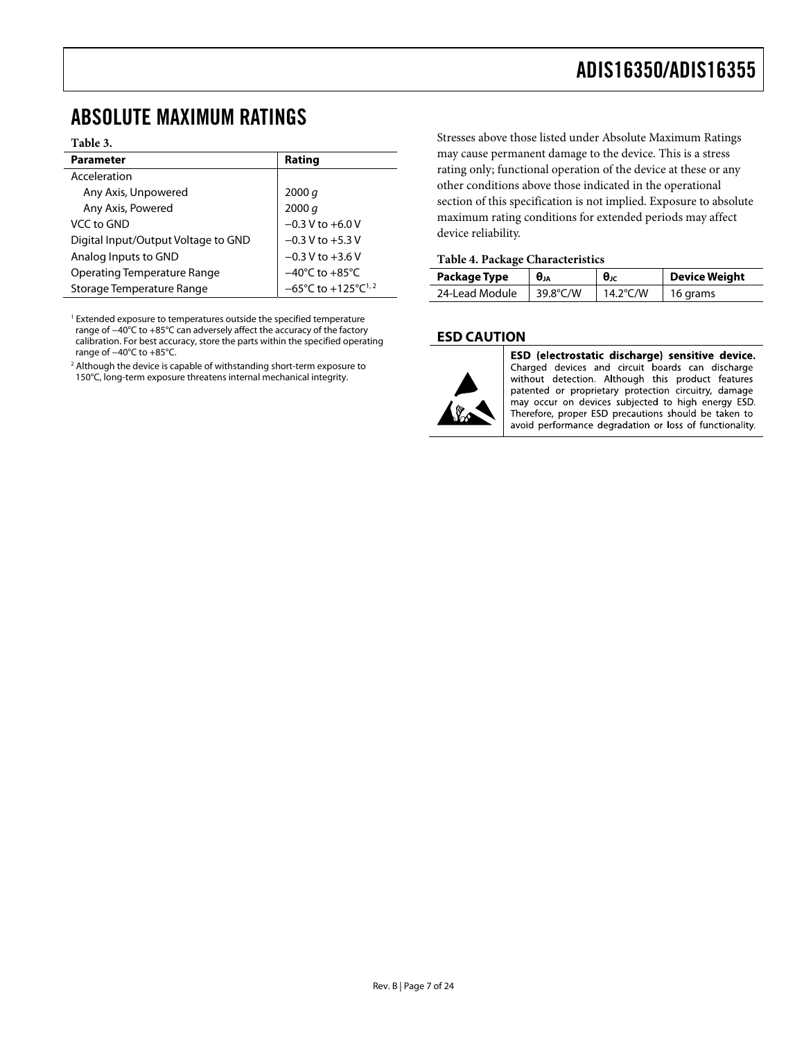### <span id="page-6-0"></span>ABSOLUTE MAXIMUM RATINGS

#### **Table 3.**

| <b>Parameter</b>                    | Rating                                             |
|-------------------------------------|----------------------------------------------------|
| Acceleration                        |                                                    |
| Any Axis, Unpowered                 | 2000 $q$                                           |
| Any Axis, Powered                   | 2000 q                                             |
| VCC to GND                          | $-0.3$ V to $+6.0$ V                               |
| Digital Input/Output Voltage to GND | $-0.3 V$ to $+5.3 V$                               |
| Analog Inputs to GND                | $-0.3 V$ to $+3.6 V$                               |
| <b>Operating Temperature Range</b>  | $-40^{\circ}$ C to $+85^{\circ}$ C                 |
| Storage Temperature Range           | $-65^{\circ}$ C to $+125^{\circ}$ C <sup>1,2</sup> |

<sup>1</sup> Extended exposure to temperatures outside the specified temperature range of −40°C to +85°C can adversely affect the accuracy of the factory calibration. For best accuracy, store the parts within the specified operating range of −40°C to +85°C.

<sup>2</sup> Although the device is capable of withstanding short-term exposure to 150°C, long-term exposure threatens internal mechanical integrity.

Stresses above those listed under Absolute Maximum Ratings may cause permanent damage to the device. This is a stress rating only; functional operation of the device at these or any other conditions above those indicated in the operational section of this specification is not implied. Exposure to absolute maximum rating conditions for extended periods may affect device reliability.

#### **Table 4. Package Characteristics**

| Package Type   | $\theta_{JA}$ | $θ$ ις             | Device Weight |
|----------------|---------------|--------------------|---------------|
| 24-Lead Module | 39.8°C/W      | 14.2 $\degree$ C/W | 16 grams      |

#### **ESD CAUTION**



ESD (electrostatic discharge) sensitive device. Charged devices and circuit boards can discharge without detection. Although this product features patented or proprietary protection circuitry, damage may occur on devices subjected to high energy ESD. Therefore, proper ESD precautions should be taken to avoid performance degradation or loss of functionality.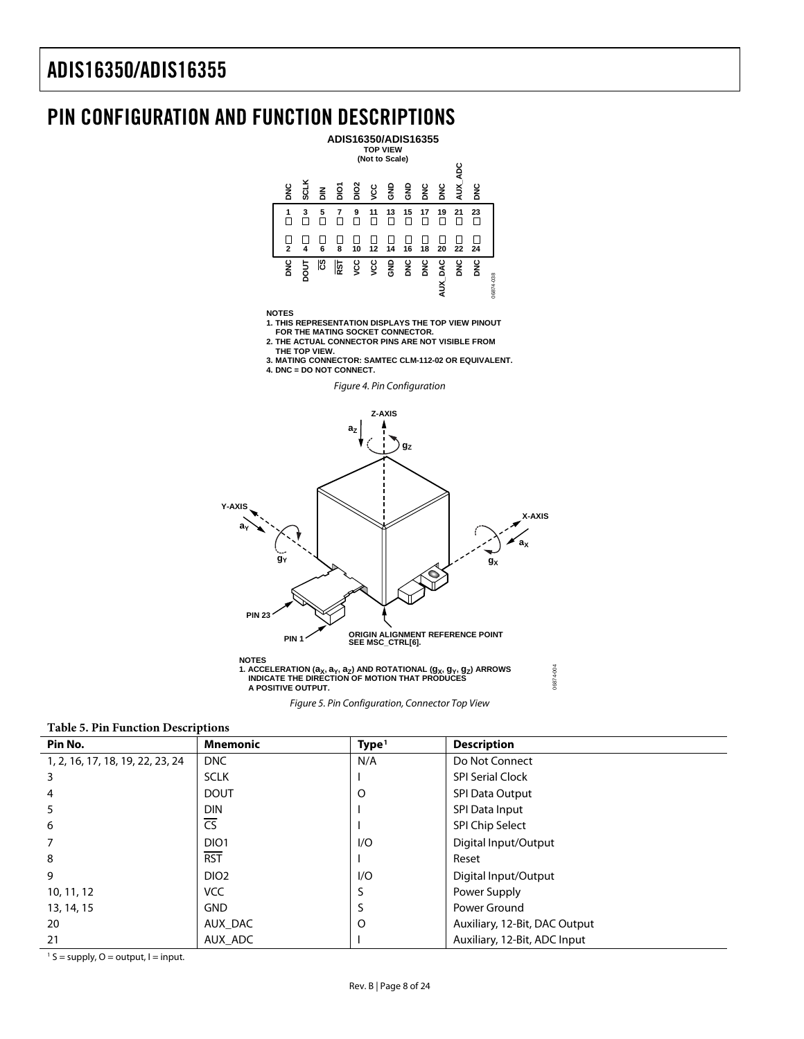### <span id="page-7-0"></span>PIN CONFIGURATION AND FUNCTION DESCRIPTIONS



<span id="page-7-2"></span><span id="page-7-1"></span>**Table 5. Pin Function Descriptions** 

| Pin No.                          | <b>Mnemonic</b>        | Type <sup>1</sup> | <b>Description</b>            |
|----------------------------------|------------------------|-------------------|-------------------------------|
| 1, 2, 16, 17, 18, 19, 22, 23, 24 | <b>DNC</b>             | N/A               | Do Not Connect                |
| 3                                | <b>SCLK</b>            |                   | <b>SPI Serial Clock</b>       |
| 4                                | <b>DOUT</b>            | O                 | <b>SPI Data Output</b>        |
| 5                                | <b>DIN</b>             |                   | SPI Data Input                |
| 6                                | $\overline{\text{CS}}$ |                   | SPI Chip Select               |
| 7                                | DIO <sub>1</sub>       | 1/O               | Digital Input/Output          |
| 8                                | <b>RST</b>             |                   | Reset                         |
| 9                                | DIO <sub>2</sub>       | 1/O               | Digital Input/Output          |
| 10, 11, 12                       | <b>VCC</b>             |                   | Power Supply                  |
| 13, 14, 15                       | <b>GND</b>             |                   | Power Ground                  |
| 20                               | AUX_DAC                | O                 | Auxiliary, 12-Bit, DAC Output |
| 21                               | AUX ADC                |                   | Auxiliary, 12-Bit, ADC Input  |

Figure 5. Pin Configuration, Connector Top View

06874-004

 $1 S =$  supply, O = output, I = input.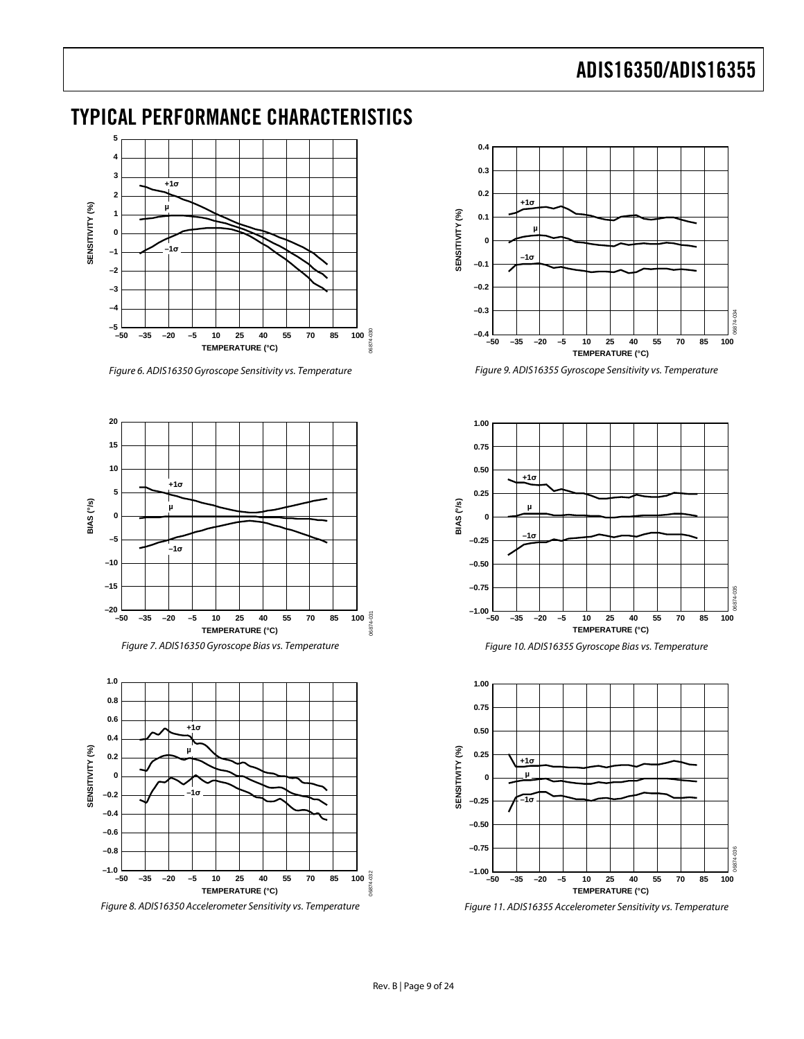### <span id="page-8-0"></span>TYPICAL PERFORMANCE CHARACTERISTICS



Figure 6. ADIS16350 Gyroscope Sensitivity vs. Temperature

<span id="page-8-2"></span><span id="page-8-1"></span>

<span id="page-8-3"></span>

<span id="page-8-4"></span>Figure 8. ADIS16350 Accelerometer Sensitivity vs. Temperature



Figure 9. ADIS16355 Gyroscope Sensitivity vs. Temperature



Figure 10. ADIS16355 Gyroscope Bias vs. Temperature



Figure 11. ADIS16355 Accelerometer Sensitivity vs. Temperature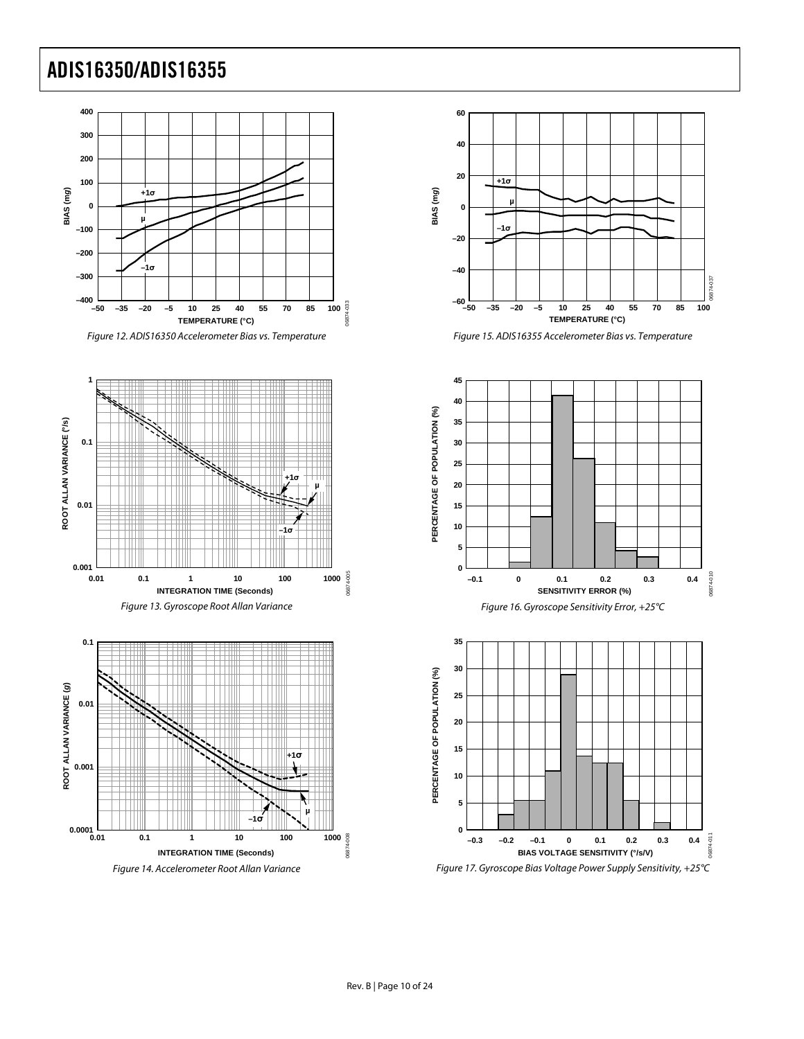

<span id="page-9-0"></span>

Figure 13. Gyroscope Root Allan Variance



Figure 14. Accelerometer Root Allan Variance



Figure 15. ADIS16355 Accelerometer Bias vs. Temperature



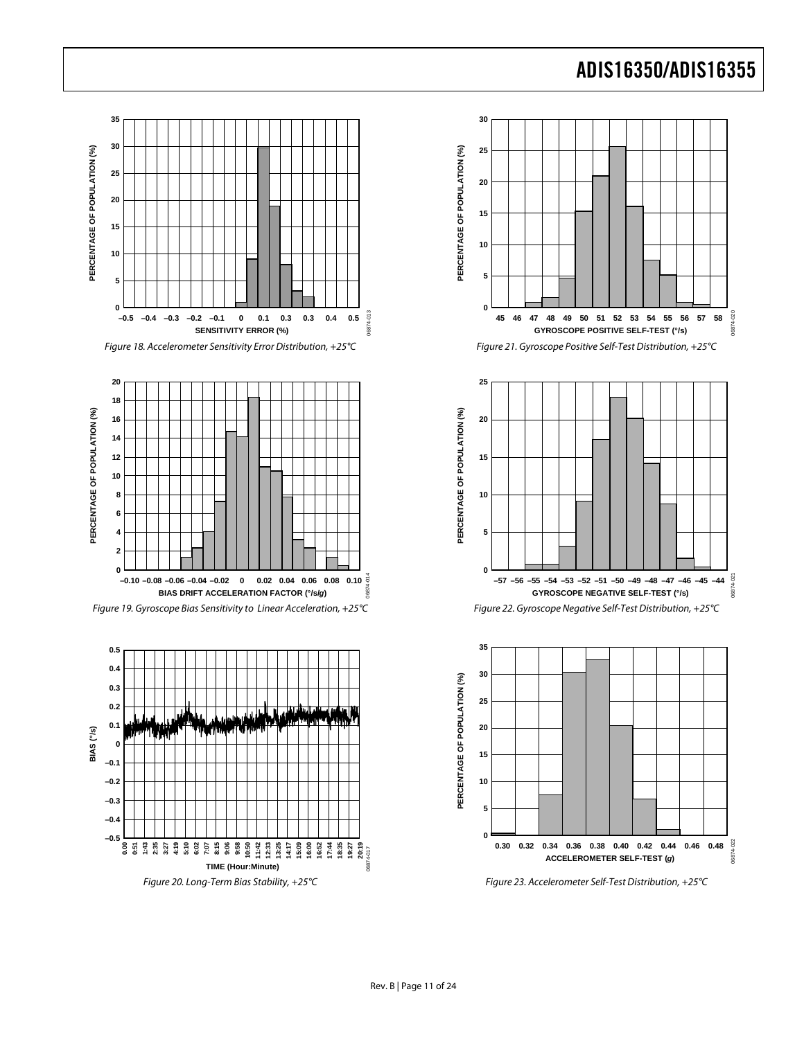06874-020

06874-020

06874-021

 $021$ 

06874-022

6874-022



Figure 20. Long-Term Bias Stability, +25°C Figure 23. Accelerometer Self-Test Distribution, +25°C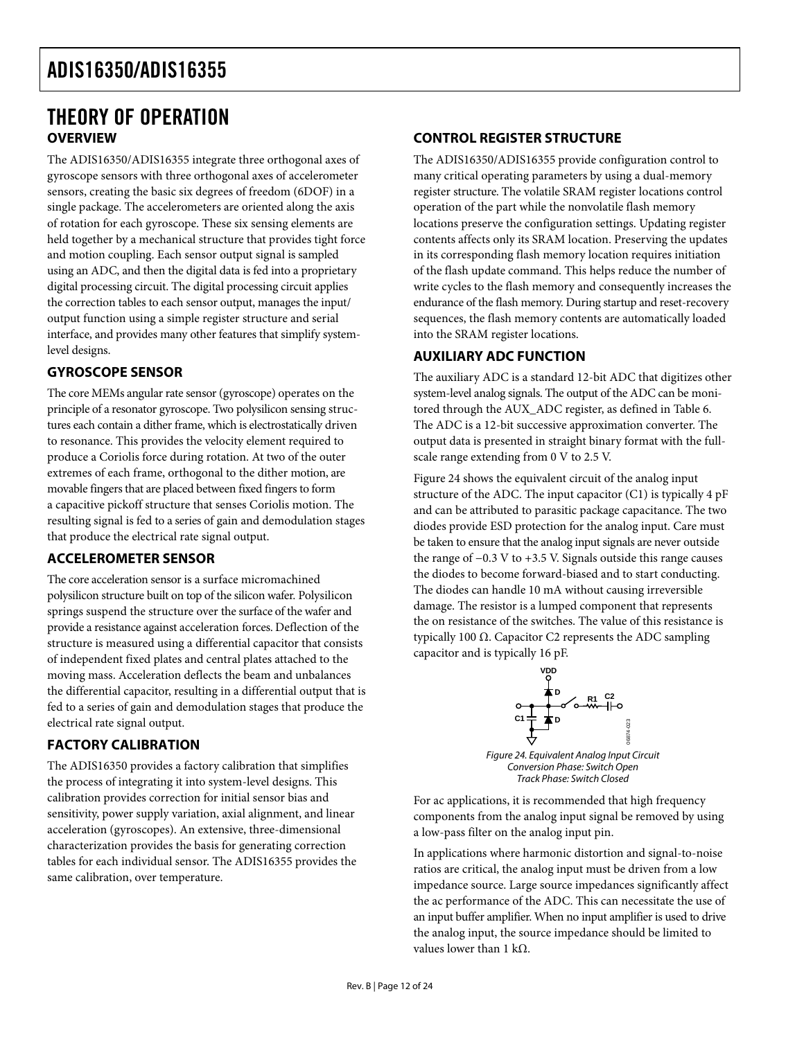### <span id="page-11-0"></span>THEORY OF OPERATION **OVERVIEW**

The ADIS16350/ADIS16355 integrate three orthogonal axes of gyroscope sensors with three orthogonal axes of accelerometer sensors, creating the basic six degrees of freedom (6DOF) in a single package. The accelerometers are oriented along the axis of rotation for each gyroscope. These six sensing elements are held together by a mechanical structure that provides tight force and motion coupling. Each sensor output signal is sampled using an ADC, and then the digital data is fed into a proprietary digital processing circuit. The digital processing circuit applies the correction tables to each sensor output, manages the input/ output function using a simple register structure and serial interface, and provides many other features that simplify systemlevel designs.

#### **GYROSCOPE SENSOR**

The core MEMs angular rate sensor (gyroscope) operates on the principle of a resonator gyroscope. Two polysilicon sensing structures each contain a dither frame, which is electrostatically driven to resonance. This provides the velocity element required to produce a Coriolis force during rotation. At two of the outer extremes of each frame, orthogonal to the dither motion, are movable fingers that are placed between fixed fingers to form a capacitive pickoff structure that senses Coriolis motion. The resulting signal is fed to a series of gain and demodulation stages that produce the electrical rate signal output.

#### **ACCELEROMETER SENSOR**

The core acceleration sensor is a surface micromachined polysilicon structure built on top of the silicon wafer. Polysilicon springs suspend the structure over the surface of the wafer and provide a resistance against acceleration forces. Deflection of the structure is measured using a differential capacitor that consists of independent fixed plates and central plates attached to the moving mass. Acceleration deflects the beam and unbalances the differential capacitor, resulting in a differential output that is fed to a series of gain and demodulation stages that produce the electrical rate signal output.

#### **FACTORY CALIBRATION**

<span id="page-11-1"></span>The ADIS16350 provides a factory calibration that simplifies the process of integrating it into system-level designs. This calibration provides correction for initial sensor bias and sensitivity, power supply variation, axial alignment, and linear acceleration (gyroscopes). An extensive, three-dimensional characterization provides the basis for generating correction tables for each individual sensor. The ADIS16355 provides the same calibration, over temperature.

#### **CONTROL REGISTER STRUCTURE**

The ADIS16350/ADIS16355 provide configuration control to many critical operating parameters by using a dual-memory register structure. The volatile SRAM register locations control operation of the part while the nonvolatile flash memory locations preserve the configuration settings. Updating register contents affects only its SRAM location. Preserving the updates in its corresponding flash memory location requires initiation of the flash update command. This helps reduce the number of write cycles to the flash memory and consequently increases the endurance of the flash memory. During startup and reset-recovery sequences, the flash memory contents are automatically loaded into the SRAM register locations.

#### **AUXILIARY ADC FUNCTION**

The auxiliary ADC is a standard 12-bit ADC that digitizes other system-level analog signals. The output of the ADC can be monitored through the AUX\_ADC register, as defined in [Table 6](#page-13-1). The ADC is a 12-bit successive approximation converter. The output data is presented in straight binary format with the fullscale range extending from 0 V to 2.5 V.

[Figure 24](#page-11-1) shows the equivalent circuit of the analog input structure of the ADC. The input capacitor (C1) is typically 4 pF and can be attributed to parasitic package capacitance. The two diodes provide ESD protection for the analog input. Care must be taken to ensure that the analog input signals are never outside the range of −0.3 V to +3.5 V. Signals outside this range causes the diodes to become forward-biased and to start conducting. The diodes can handle 10 mA without causing irreversible damage. The resistor is a lumped component that represents the on resistance of the switches. The value of this resistance is typically 100 Ω. Capacitor C2 represents the ADC sampling capacitor and is typically 16 pF.



For ac applications, it is recommended that high frequency components from the analog input signal be removed by using a low-pass filter on the analog input pin.

In applications where harmonic distortion and signal-to-noise ratios are critical, the analog input must be driven from a low impedance source. Large source impedances significantly affect the ac performance of the ADC. This can necessitate the use of an input buffer amplifier. When no input amplifier is used to drive the analog input, the source impedance should be limited to values lower than 1 kΩ.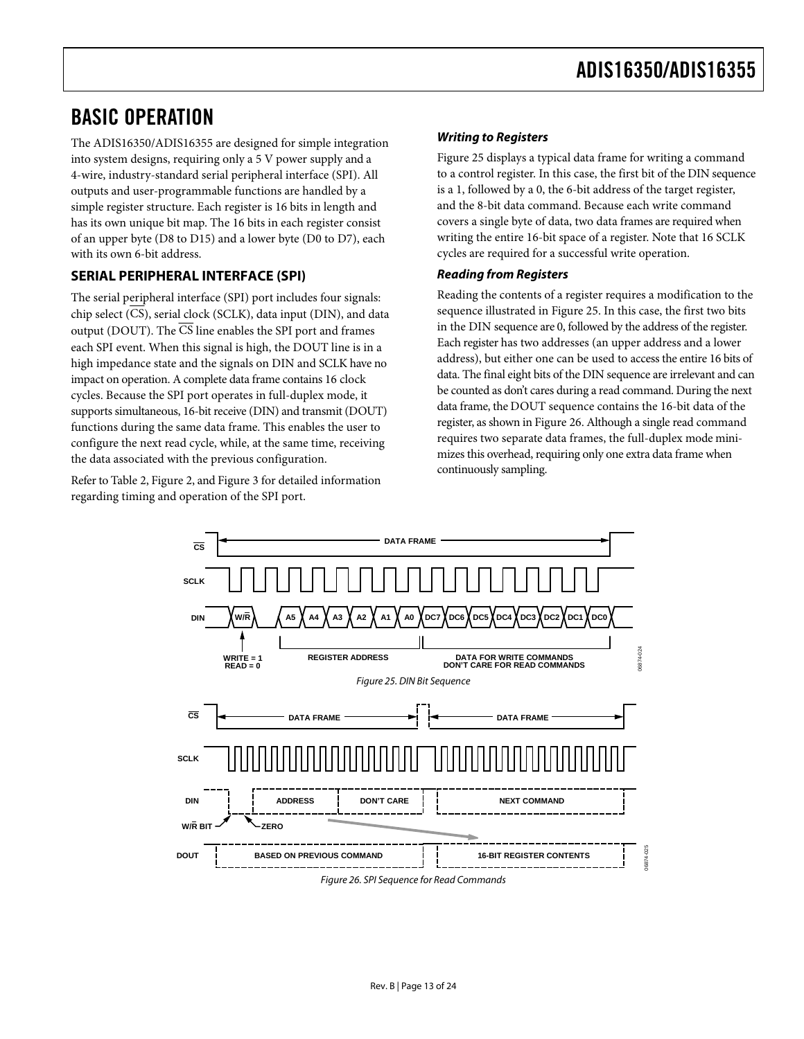### <span id="page-12-0"></span>BASIC OPERATION

The ADIS16350/ADIS16355 are designed for simple integration into system designs, requiring only a 5 V power supply and a 4-wire, industry-standard serial peripheral interface (SPI). All outputs and user-programmable functions are handled by a simple register structure. Each register is 16 bits in length and has its own unique bit map. The 16 bits in each register consist of an upper byte (D8 to D15) and a lower byte (D0 to D7), each with its own 6-bit address.

#### **SERIAL PERIPHERAL INTERFACE (SPI)**

The serial peripheral interface (SPI) port includes four signals: chip select  $(\overline{\text{CS}})$ , serial clock (SCLK), data input (DIN), and data output (DOUT). The CS line enables the SPI port and frames each SPI event. When this signal is high, the DOUT line is in a high impedance state and the signals on DIN and SCLK have no impact on operation. A complete data frame contains 16 clock cycles. Because the SPI port operates in full-duplex mode, it supports simultaneous, 16-bit receive (DIN) and transmit (DOUT) functions during the same data frame. This enables the user to configure the next read cycle, while, at the same time, receiving the data associated with the previous configuration.

<span id="page-12-1"></span>Refer to [Table 2](#page-5-1), [Figure 2](#page-5-2), and [Figure 3](#page-5-3) for detailed information regarding timing and operation of the SPI port.

#### **Writing to Registers**

[Figure 25](#page-12-1) displays a typical data frame for writing a command to a control register. In this case, the first bit of the DIN sequence is a 1, followed by a 0, the 6-bit address of the target register, and the 8-bit data command. Because each write command covers a single byte of data, two data frames are required when writing the entire 16-bit space of a register. Note that 16 SCLK cycles are required for a successful write operation.

#### **Reading from Registers**

Reading the contents of a register requires a modification to the sequence illustrated in [Figure 25.](#page-12-1) In this case, the first two bits in the DIN sequence are 0, followed by the address of the register. Each register has two addresses (an upper address and a lower address), but either one can be used to access the entire 16 bits of data. The final eight bits of the DIN sequence are irrelevant and can be counted as don't cares during a read command. During the next data frame, the DOUT sequence contains the 16-bit data of the register, as shown in [Figure 26.](#page-12-2) Although a single read command requires two separate data frames, the full-duplex mode minimizes this overhead, requiring only one extra data frame when continuously sampling.

<span id="page-12-2"></span>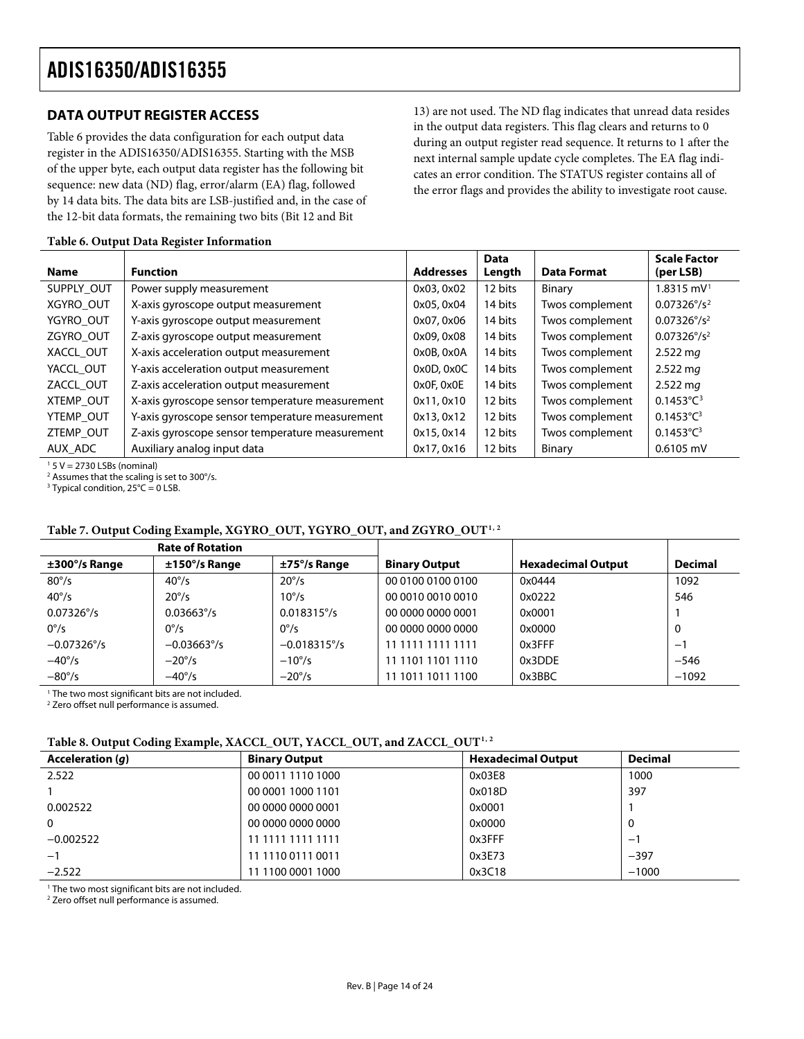#### <span id="page-13-0"></span>**DATA OUTPUT REGISTER ACCESS**

[Table 6](#page-13-1) provides the data configuration for each output data register in the ADIS16350/ADIS16355. Starting with the MSB of the upper byte, each output data register has the following bit sequence: new data (ND) flag, error/alarm (EA) flag, followed by 14 data bits. The data bits are LSB-justified and, in the case of the 12-bit data formats, the remaining two bits (Bit 12 and Bit

13) are not used. The ND flag indicates that unread data resides in the output data registers. This flag clears and returns to 0 during an output register read sequence. It returns to 1 after the next internal sample update cycle completes. The EA flag indicates an error condition. The STATUS register contains all of the error flags and provides the ability to investigate root cause.

**Scale Factor** 

**Data D** 

Т

#### <span id="page-13-1"></span>**Table 6. Output Data Register Information**

| <b>Name</b> | <b>Function</b>                                 | <b>Addresses</b> | Data<br>Length | <b>Data Format</b> | <b>Scale Factor</b><br>(per LSB) |
|-------------|-------------------------------------------------|------------------|----------------|--------------------|----------------------------------|
| SUPPLY OUT  | Power supply measurement                        | 0x03, 0x02       | 12 bits        | Binary             | $1.8315$ mV <sup>1</sup>         |
| XGYRO OUT   | X-axis gyroscope output measurement             | 0x05, 0x04       | 14 bits        | Twos complement    | $0.07326^{\circ}/s^2$            |
| YGYRO_OUT   | Y-axis gyroscope output measurement             | 0x07, 0x06       | 14 bits        | Twos complement    | $0.07326^{\circ}/s^2$            |
| ZGYRO OUT   | Z-axis gyroscope output measurement             | 0x09, 0x08       | 14 bits        | Twos complement    | $0.07326^{\circ}/s^2$            |
| XACCL_OUT   | X-axis acceleration output measurement          | 0x0B, 0x0A       | 14 bits        | Twos complement    | $2.522$ mg                       |
| YACCL_OUT   | Y-axis acceleration output measurement          | $0x0D$ , $0x0C$  | 14 bits        | Twos complement    | $2.522$ mg                       |
| ZACCL OUT   | Z-axis acceleration output measurement          | 0x0F, 0x0E       | 14 bits        | Twos complement    | $2.522$ mg                       |
| XTEMP OUT   | X-axis gyroscope sensor temperature measurement | 0x11,0x10        | 12 bits        | Twos complement    | $0.1453^{\circ}$ C <sup>3</sup>  |
| YTEMP_OUT   | Y-axis gyroscope sensor temperature measurement | 0x13, 0x12       | 12 bits        | Twos complement    | $0.1453^{\circ}C^{3}$            |
| ZTEMP OUT   | Z-axis gyroscope sensor temperature measurement | 0x15, 0x14       | 12 bits        | Twos complement    | $0.1453^{\circ}C^{3}$            |
| AUX_ADC     | Auxiliary analog input data                     | 0x17, 0x16       | 12 bits        | Binary             | $0.6105$ mV                      |

<span id="page-13-2"></span>1 5 V = 2730 LSBs (nominal)

<sup>2</sup> Assumes that the scaling is set to 300°/s.<br><sup>3</sup> Ivnical condition, 25°C = 0.1 SB

 $3$  Typical condition, 25 $^{\circ}$ C = 0 LSB.

#### **Table 7. Output Coding Example, XGYRO\_OUT, YGYRO\_OUT, and ZGYRO\_OUT[1](#page-13-3), [2](#page-13-3)**

<span id="page-13-3"></span>

| <b>Rate of Rotation</b>   |                           |                       |                      |                           |                |
|---------------------------|---------------------------|-----------------------|----------------------|---------------------------|----------------|
| $\pm 300^{\circ}/s$ Range | $\pm 150^{\circ}/s$ Range | $\pm$ 75°/s Range     | <b>Binary Output</b> | <b>Hexadecimal Output</b> | <b>Decimal</b> |
| $80^{\circ}/s$            | $40^{\circ}/s$            | $20^{\circ}/s$        | 00 0100 0100 0100    | 0x0444                    | 1092           |
| $40^{\circ}/s$            | $20^{\circ}/s$            | $10^{\circ}/s$        | 00 0010 0010 0010    | 0x0222                    | 546            |
| $0.07326^{\circ}/s$       | $0.03663^{\circ}/s$       | $0.018315^{\circ}/s$  | 00 0000 0000 0001    | 0x0001                    |                |
| $0^{\circ}/s$             | $0^{\circ}/s$             | $0^{\circ}/s$         | 00 0000 0000 0000    | 0x0000                    | 0              |
| $-0.07326^{\circ}/s$      | $-0.03663^{\circ}/s$      | $-0.018315^{\circ}/s$ | 11 1111 1111 1111    | 0x3FFF                    | $-1$           |
| $-40^{\circ}/s$           | $-20^{\circ}/s$           | $-10^{\circ}/s$       | 1101 1101 1110       | 0x3DDE                    | $-546$         |
| $-80^{\circ}/s$           | $-40^{\circ}/s$           | $-20^{\circ}/s$       | 11 1011 1011 1100    | 0x3BBC                    | $-1092$        |

<sup>1</sup> The two most significant bits are not included.

2 Zero offset null performance is assumed.

#### **Table 8. Output Coding Example, XACCL\_OUT, YACCL\_OUT, and ZACCL\_OUT[1](#page-13-3), [2](#page-13-3)**

| <b>Acceleration</b> (q) | <b>Binary Output</b> | <b>Hexadecimal Output</b> | <b>Decimal</b> |
|-------------------------|----------------------|---------------------------|----------------|
| 2.522                   | 00 0011 1110 1000    | 0x03E8                    | 1000           |
|                         | 00 0001 1000 1101    | 0x018D                    | 397            |
| 0.002522                | 00 0000 0000 0001    | 0x0001                    |                |
| $\mathbf{0}$            | 00 0000 0000 0000    | 0x0000                    | 0              |
| $-0.002522$             | 11 1111 1111 1111    | 0x3FFF                    | —              |
| $-1$                    | 11 1110 0111 0011    | 0x3E73                    | $-397$         |
| $-2.522$                | 11 1100 0001 1000    | 0x3C18                    | $-1000$        |

<sup>1</sup> The two most significant bits are not included.

2 Zero offset null performance is assumed.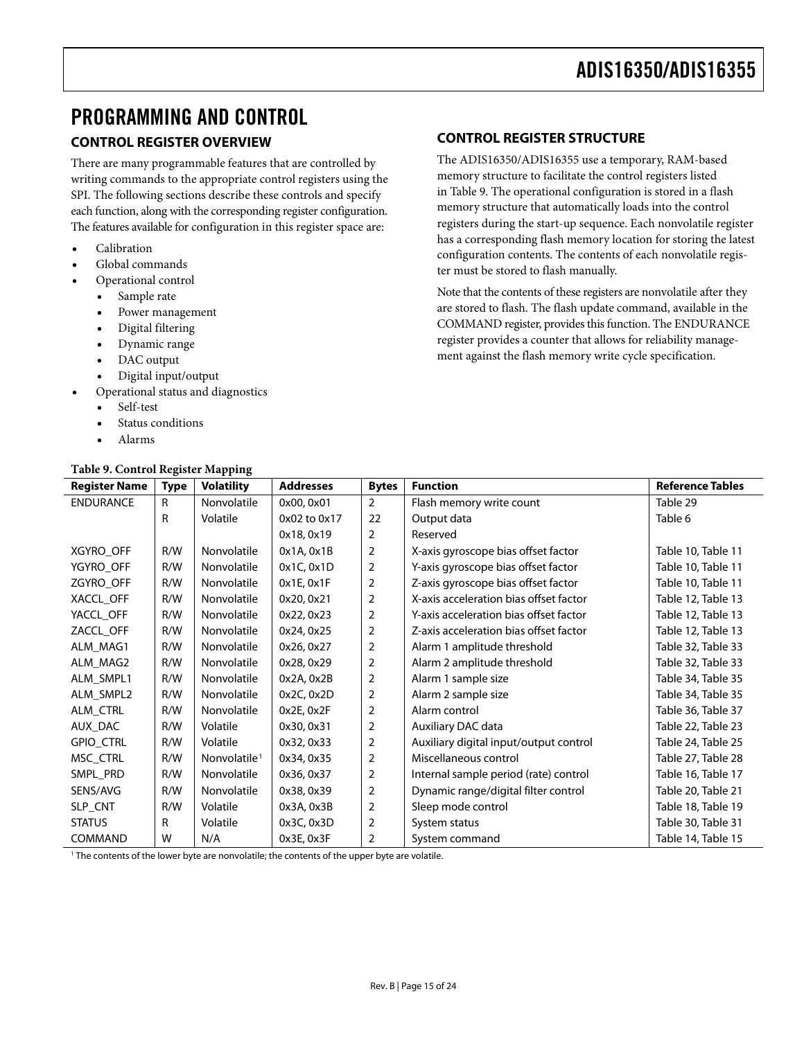### <span id="page-14-0"></span>PROGRAMMING AND CONTROL

#### **CONTROL REGISTER OVERVIEW**

There are many programmable features that are controlled by writing commands to the appropriate control registers using the SPI. The following sections describe these controls and specify each function, along with the corresponding register configuration. The features available for configuration in this register space are:

- Calibration
- Global commands
- Operational control
	- Sample rate
	- Power management
	- Digital filtering
	- Dynamic range
	- DAC output
	- Digital input/output
- Operational status and diagnostics
	- Self-test
	- Status conditions
	- Alarms

#### **Table 9. Control Register Mapping**

#### **CONTROL REGISTER STRUCTURE**

The ADIS16350/ADIS16355 use a temporary, RAM-based memory structure to facilitate the control registers listed in [Table 9](#page-14-1). The operational configuration is stored in a flash memory structure that automatically loads into the control registers during the start-up sequence. Each nonvolatile register has a corresponding flash memory location for storing the latest configuration contents. The contents of each nonvolatile register must be stored to flash manually.

Note that the contents of these registers are nonvolatile after they are stored to flash. The flash update command, available in the COMMAND register, provides this function. The ENDURANCE register provides a counter that allows for reliability management against the flash memory write cycle specification.

<span id="page-14-2"></span><span id="page-14-1"></span>

| <b>Register Name</b> | <b>Type</b> | <b>Volatility</b>        | <b>Addresses</b> | <b>Bytes</b>   | <b>Function</b>                        | <b>Reference Tables</b> |
|----------------------|-------------|--------------------------|------------------|----------------|----------------------------------------|-------------------------|
| <b>ENDURANCE</b>     | R           | Nonvolatile              | 0x00, 0x01       | $\overline{2}$ | Flash memory write count               | Table 29                |
|                      | R           | Volatile                 | 0x02 to 0x17     | 22             | Output data                            | Table 6                 |
|                      |             |                          | 0x18, 0x19       | 2              | Reserved                               |                         |
| XGYRO OFF            | R/W         | Nonvolatile              | $0x1A$ , $0x1B$  | $\overline{2}$ | X-axis gyroscope bias offset factor    | Table 10, Table 11      |
| YGYRO_OFF            | R/W         | Nonvolatile              | 0x1C, 0x1D       | 2              | Y-axis gyroscope bias offset factor    | Table 10, Table 11      |
| ZGYRO OFF            | R/W         | Nonvolatile              | $0x1E$ , $0x1F$  | 2              | Z-axis gyroscope bias offset factor    | Table 10, Table 11      |
| XACCL_OFF            | R/W         | Nonvolatile              | 0x20, 0x21       | 2              | X-axis acceleration bias offset factor | Table 12, Table 13      |
| YACCL_OFF            | R/W         | Nonvolatile              | 0x22, 0x23       | $\overline{2}$ | Y-axis acceleration bias offset factor | Table 12, Table 13      |
| ZACCL_OFF            | R/W         | Nonvolatile              | 0x24, 0x25       | 2              | Z-axis acceleration bias offset factor | Table 12, Table 13      |
| ALM MAG1             | R/W         | Nonvolatile              | 0x26, 0x27       | 2              | Alarm 1 amplitude threshold            | Table 32, Table 33      |
| ALM MAG2             | R/W         | Nonvolatile              | 0x28, 0x29       | 2              | Alarm 2 amplitude threshold            | Table 32, Table 33      |
| ALM_SMPL1            | R/W         | Nonvolatile              | 0x2A, 0x2B       | 2              | Alarm 1 sample size                    | Table 34, Table 35      |
| ALM_SMPL2            | R/W         | Nonvolatile              | 0x2C, 0x2D       | 2              | Alarm 2 sample size                    | Table 34, Table 35      |
| ALM_CTRL             | R/W         | Nonvolatile              | 0x2E, 0x2F       | 2              | Alarm control                          | Table 36, Table 37      |
| AUX_DAC              | R/W         | Volatile                 | 0x30, 0x31       | 2              | Auxiliary DAC data                     | Table 22, Table 23      |
| <b>GPIO CTRL</b>     | R/W         | Volatile                 | 0x32, 0x33       | 2              | Auxiliary digital input/output control | Table 24, Table 25      |
| MSC_CTRL             | R/W         | Nonvolatile <sup>1</sup> | 0x34, 0x35       | 2              | Miscellaneous control                  | Table 27, Table 28      |
| SMPL_PRD             | R/W         | Nonvolatile              | 0x36, 0x37       | $\overline{2}$ | Internal sample period (rate) control  | Table 16, Table 17      |
| SENS/AVG             | R/W         | Nonvolatile              | 0x38, 0x39       | 2              | Dynamic range/digital filter control   | Table 20, Table 21      |
| SLP_CNT              | R/W         | Volatile                 | 0x3A, 0x3B       | 2              | Sleep mode control                     | Table 18, Table 19      |
| <b>STATUS</b>        | R           | Volatile                 | 0x3C, 0x3D       | 2              | System status                          | Table 30, Table 31      |
| COMMAND              | W           | N/A                      | 0x3E, 0x3F       | 2              | System command                         | Table 14, Table 15      |

1 The contents of the lower byte are nonvolatile; the contents of the upper byte are volatile.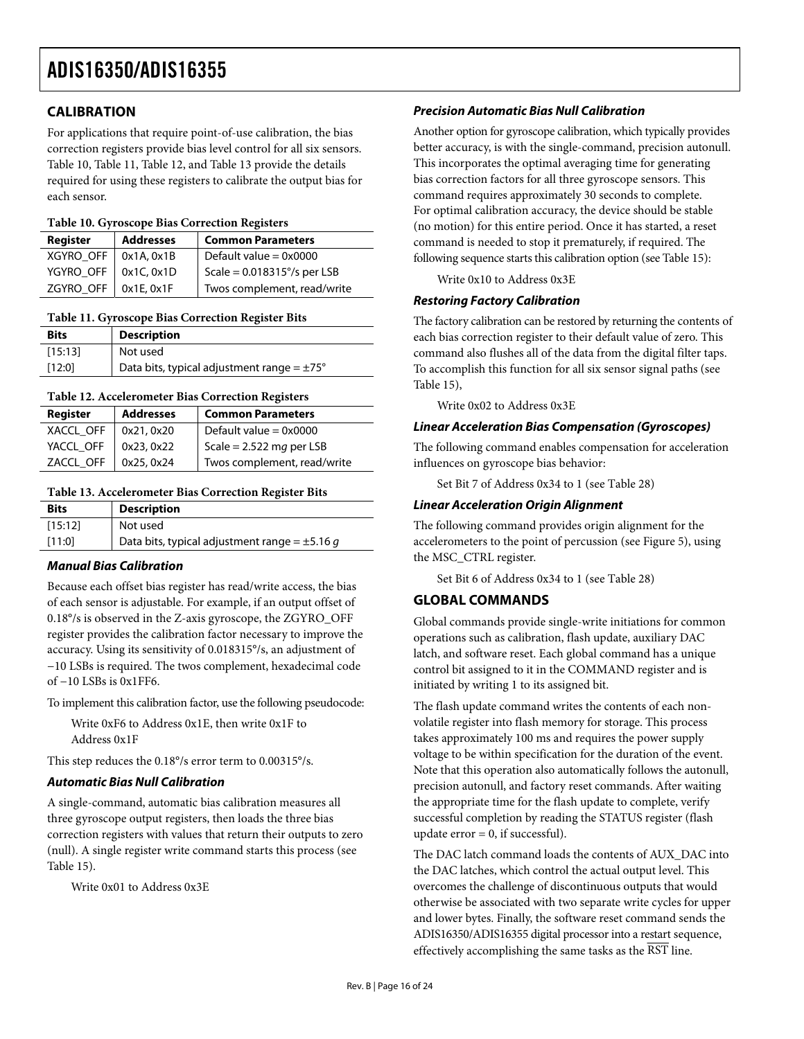#### <span id="page-15-0"></span>**CALIBRATION**

For applications that require point-of-use calibration, the bias correction registers provide bias level control for all six sensors. [Table 10](#page-15-1), [Table 11](#page-15-2), [Table 12](#page-15-3), and [Table 13](#page-15-4) provide the details required for using these registers to calibrate the output bias for each sensor.

#### **Table 10. Gyroscope Bias Correction Registers**

<span id="page-15-1"></span>

| Register               | <b>Addresses</b> | <b>Common Parameters</b>             |
|------------------------|------------------|--------------------------------------|
| XGYRO_OFF   0x1A, 0x1B |                  | Default value = $0x0000$             |
| YGYRO_OFF   0x1C, 0x1D |                  | Scale = $0.018315^{\circ}/s$ per LSB |
| ZGYRO_OFF   0x1E, 0x1F |                  | Twos complement, read/write          |

#### **Table 11. Gyroscope Bias Correction Register Bits**

<span id="page-15-2"></span>

| <b>Bits</b> | <b>Description</b>                                     |
|-------------|--------------------------------------------------------|
| [15:13]     | Not used                                               |
| [12:0]      | Data bits, typical adjustment range = $\pm 75^{\circ}$ |
|             |                                                        |

#### **Table 12. Accelerometer Bias Correction Registers**

<span id="page-15-3"></span>

| Register               | <b>Addresses</b> | <b>Common Parameters</b>    |
|------------------------|------------------|-----------------------------|
| XACCL_OFF   0x21, 0x20 |                  | Default value = $0x0000$    |
| YACCL_OFF   0x23, 0x22 |                  | Scale = $2.522$ mg per LSB  |
| ZACCL_OFF   0x25, 0x24 |                  | Twos complement, read/write |

#### <span id="page-15-4"></span>**Table 13. Accelerometer Bias Correction Register Bits**

| <b>Bits</b> | <b>Description</b>                                 |
|-------------|----------------------------------------------------|
| [15:12]     | Not used                                           |
| [11:0]      | Data bits, typical adjustment range = $\pm$ 5.16 g |

#### **Manual Bias Calibration**

Because each offset bias register has read/write access, the bias of each sensor is adjustable. For example, if an output offset of 0.18°/s is observed in the Z-axis gyroscope, the ZGYRO\_OFF register provides the calibration factor necessary to improve the accuracy. Using its sensitivity of 0.018315°/s, an adjustment of −10 LSBs is required. The twos complement, hexadecimal code of −10 LSBs is 0x1FF6.

To implement this calibration factor, use the following pseudocode:

Write 0xF6 to Address 0x1E, then write 0x1F to Address 0x1F

This step reduces the 0.18°/s error term to 0.00315°/s.

#### **Automatic Bias Null Calibration**

A single-command, automatic bias calibration measures all three gyroscope output registers, then loads the three bias correction registers with values that return their outputs to zero (null). A single register write command starts this process (see [Table 15](#page-16-6)).

Write 0x01 to Address 0x3E

#### **Precision Automatic Bias Null Calibration**

Another option for gyroscope calibration, which typically provides better accuracy, is with the single-command, precision autonull. This incorporates the optimal averaging time for generating bias correction factors for all three gyroscope sensors. This command requires approximately 30 seconds to complete. For optimal calibration accuracy, the device should be stable (no motion) for this entire period. Once it has started, a reset command is needed to stop it prematurely, if required. The following sequence starts this calibration option (see [Table 15](#page-16-6)):

Write 0x10 to Address 0x3E

#### **Restoring Factory Calibration**

The factory calibration can be restored by returning the contents of each bias correction register to their default value of zero. This command also flushes all of the data from the digital filter taps. To accomplish this function for all six sensor signal paths (see [Table 15](#page-16-6)),

Write 0x02 to Address 0x3E

#### **Linear Acceleration Bias Compensation (Gyroscopes)**

The following command enables compensation for acceleration influences on gyroscope bias behavior:

Set Bit 7 of Address 0x34 to 1 (see [Table 28](#page-18-3))

#### **Linear Acceleration Origin Alignment**

The following command provides origin alignment for the accelerometers to the point of percussion (see [Figure 5\)](#page-7-2), using the MSC\_CTRL register.

Set Bit 6 of Address 0x34 to 1 (see [Table 28](#page-18-3))

#### **GLOBAL COMMANDS**

Global commands provide single-write initiations for common operations such as calibration, flash update, auxiliary DAC latch, and software reset. Each global command has a unique control bit assigned to it in the COMMAND register and is initiated by writing 1 to its assigned bit.

The flash update command writes the contents of each nonvolatile register into flash memory for storage. This process takes approximately 100 ms and requires the power supply voltage to be within specification for the duration of the event. Note that this operation also automatically follows the autonull, precision autonull, and factory reset commands. After waiting the appropriate time for the flash update to complete, verify successful completion by reading the STATUS register (flash update  $error = 0$ , if successful).

The DAC latch command loads the contents of AUX\_DAC into the DAC latches, which control the actual output level. This overcomes the challenge of discontinuous outputs that would otherwise be associated with two separate write cycles for upper and lower bytes. Finally, the software reset command sends the ADIS16350/ADIS16355 digital processor into a restart sequence, effectively accomplishing the same tasks as the RST line.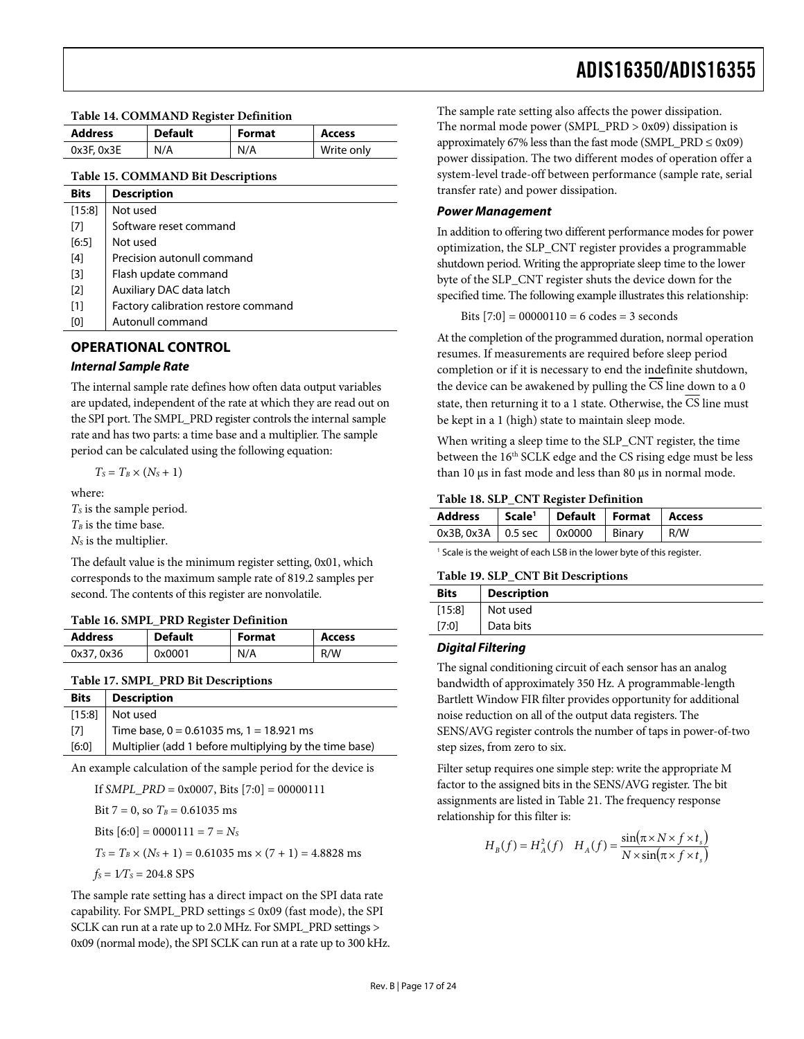#### <span id="page-16-0"></span>**Table 14. COMMAND Register Definition**

<span id="page-16-5"></span>

| <b>Address</b> | <b>Default</b> | <b>Format</b> | <b>Access</b> |
|----------------|----------------|---------------|---------------|
| 0x3F, 0x3E     | N/A            | N/A           | Write only    |

#### **Table 15. COMMAND Bit Descriptions**

<span id="page-16-6"></span>

| <b>Bits</b>       | <b>Description</b>                  |
|-------------------|-------------------------------------|
| $[15:8]$          | Not used                            |
| [7]               | Software reset command              |
| [6:5]             | Not used                            |
| [4]               | Precision autonull command          |
| [3]               | Flash update command                |
| $\lceil 2 \rceil$ | Auxiliary DAC data latch            |
| [1]               | Factory calibration restore command |
| [0]               | Autonull command                    |

#### **OPERATIONAL CONTROL**

#### **Internal Sample Rate**

The internal sample rate defines how often data output variables are updated, independent of the rate at which they are read out on the SPI port. The SMPL\_PRD register controls the internal sample rate and has two parts: a time base and a multiplier. The sample period can be calculated using the following equation:

$$
T_s = T_B \times (N_s + 1)
$$

where:

<span id="page-16-3"></span> $T<sub>s</sub>$  is the sample period.

 $T_B$  is the time base.

*NS* is the multiplier.

<span id="page-16-4"></span>The default value is the minimum register setting, 0x01, which corresponds to the maximum sample rate of 819.2 samples per second. The contents of this register are nonvolatile.

#### **Table 16. SMPL\_PRD Register Definition**

<span id="page-16-1"></span>

| <b>Address</b> | <b>Default</b> | <b>Format</b> | <b>Access</b> |
|----------------|----------------|---------------|---------------|
| 0x37, 0x36     | 0x0001         | N/A           | R/W           |
|                |                |               |               |

#### **Table 17. SMPL\_PRD Bit Descriptions**

<span id="page-16-2"></span>

| <b>Bits</b> | <b>Description</b>                                     |
|-------------|--------------------------------------------------------|
|             | $[15:8]$ Not used                                      |
| [7]         | Time base, $0 = 0.61035$ ms, $1 = 18.921$ ms           |
| [6:0]       | Multiplier (add 1 before multiplying by the time base) |

An example calculation of the sample period for the device is

If *SMPL*  $PRD = 0x0007$ , Bits  $[7:0] = 00000111$ 

Bit  $7 = 0$ , so  $T_B = 0.61035$  ms

Bits  $[6:0] = 0000111 = 7 = N_s$ 

 $T_s = T_B \times (N_s + 1) = 0.61035$  ms  $\times (7 + 1) = 4.8828$  ms

 $f_S = 1/T_S = 204.8$  SPS

The sample rate setting has a direct impact on the SPI data rate capability. For SMPL\_PRD settings  $\leq 0x09$  (fast mode), the SPI SCLK can run at a rate up to 2.0 MHz. For SMPL\_PRD settings > 0x09 (normal mode), the SPI SCLK can run at a rate up to 300 kHz. ADIS16350/ADIS16355

The sample rate setting also affects the power dissipation. The normal mode power (SMPL\_PRD  $> 0x09$ ) dissipation is approximately 67% less than the fast mode (SMPL\_PRD  $\leq$  0x09) power dissipation. The two different modes of operation offer a system-level trade-off between performance (sample rate, serial transfer rate) and power dissipation.

#### **Power Management**

In addition to offering two different performance modes for power optimization, the SLP\_CNT register provides a programmable shutdown period. Writing the appropriate sleep time to the lower byte of the SLP\_CNT register shuts the device down for the specified time. The following example illustrates this relationship:

Bits  $[7:0] = 00000110 = 6$  codes = 3 seconds

At the completion of the programmed duration, normal operation resumes. If measurements are required before sleep period completion or if it is necessary to end the indefinite shutdown, the device can be awakened by pulling the CS line down to a 0 state, then returning it to a 1 state. Otherwise, the  $\overline{\text{CS}}$  line must be kept in a 1 (high) state to maintain sleep mode.

When writing a sleep time to the SLP\_CNT register, the time between the 16<sup>th</sup> SCLK edge and the CS rising edge must be less than 10 μs in fast mode and less than 80 μs in normal mode.

#### **Table 18. SLP\_CNT Register Definition**

| Address Scale <sup>1</sup> Default Format Access    |  |     |
|-----------------------------------------------------|--|-----|
| $0x3B, 0x3A \mid 0.5$ sec $\mid 0x0000 \mid$ Binary |  | R/W |

<sup>1</sup> Scale is the weight of each LSB in the lower byte of this register.

#### **Table 19. SLP\_CNT Bit Descriptions**

| <b>Bits</b> | <b>Description</b> |
|-------------|--------------------|
| $[15:8]$    | Not used           |
| $[7:0]$     | Data bits          |

#### **Digital Filtering**

The signal conditioning circuit of each sensor has an analog bandwidth of approximately 350 Hz. A programmable-length Bartlett Window FIR filter provides opportunity for additional noise reduction on all of the output data registers. The SENS/AVG register controls the number of taps in power-of-two step sizes, from zero to six.

Filter setup requires one simple step: write the appropriate M factor to the assigned bits in the SENS/AVG register. The bit assignments are listed in [Table 21](#page-17-5). The frequency response relationship for this filter is:

$$
H_B(f) = H_A^2(f) \quad H_A(f) = \frac{\sin(\pi \times N \times f \times t_s)}{N \times \sin(\pi \times f \times t_s)}
$$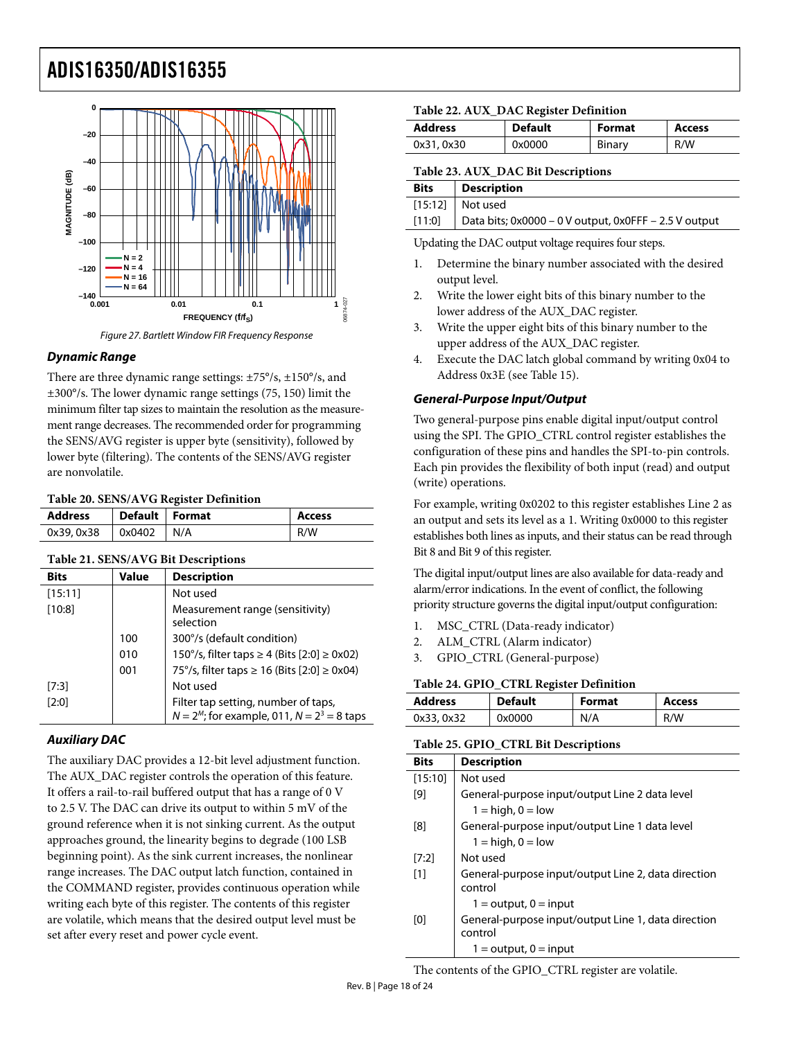<span id="page-17-1"></span><span id="page-17-0"></span>



06874-027

#### **Dynamic Range**

There are three dynamic range settings: ±75°/s, ±150°/s, and ±300°/s. The lower dynamic range settings (75, 150) limit the minimum filter tap sizes to maintain the resolution as the measurement range decreases. The recommended order for programming the SENS/AVG register is upper byte (sensitivity), followed by lower byte (filtering). The contents of the SENS/AVG register are nonvolatile.

#### **Table 20. SENS/AVG Register Definition**

<span id="page-17-4"></span>

| <b>Address</b> | Default   Format |     | <b>Access</b> |
|----------------|------------------|-----|---------------|
| 0x39, 0x38     | 0x0402           | N/A | R/W           |

<span id="page-17-5"></span>

| Table 21. SENS/AVG Bit Descriptions |  |
|-------------------------------------|--|
|-------------------------------------|--|

| <b>Bits</b> | Value | <b>Description</b>                                                                    |
|-------------|-------|---------------------------------------------------------------------------------------|
| [15:11]     |       | Not used                                                                              |
| [10:8]      |       | Measurement range (sensitivity)<br>selection                                          |
|             | 100   | 300°/s (default condition)                                                            |
|             | 010   | 150°/s, filter taps ≥ 4 (Bits [2:0] ≥ 0x02)                                           |
|             | 001   | 75°/s, filter taps ≥ 16 (Bits [2:0] ≥ 0x04)                                           |
| $[7:3]$     |       | Not used                                                                              |
| [2:0]       |       | Filter tap setting, number of taps,<br>$N = 2M$ ; for example, 011, $N = 23 = 8$ taps |

#### <span id="page-17-3"></span><span id="page-17-2"></span>**Auxiliary DAC**

The auxiliary DAC provides a 12-bit level adjustment function. The AUX\_DAC register controls the operation of this feature. It offers a rail-to-rail buffered output that has a range of 0 V to 2.5 V. The DAC can drive its output to within 5 mV of the ground reference when it is not sinking current. As the output approaches ground, the linearity begins to degrade (100 LSB beginning point). As the sink current increases, the nonlinear range increases. The DAC output latch function, contained in the COMMAND register, provides continuous operation while writing each byte of this register. The contents of this register are volatile, which means that the desired output level must be set after every reset and power cycle event.

#### **Table 22. AUX\_DAC Register Definition**

| Address    | <b>Default</b> | Format | Access |
|------------|----------------|--------|--------|
| 0x31, 0x30 | 0x0000         | Binary | R/W    |

#### **Table 23. AUX\_DAC Bit Descriptions**

| $[15:12]$ Not used                                                |  |
|-------------------------------------------------------------------|--|
|                                                                   |  |
| Data bits; 0x0000 - 0 V output, 0x0FFF - 2.5 V output<br>$[11:0]$ |  |

Updating the DAC output voltage requires four steps.

- 1. Determine the binary number associated with the desired output level.
- 2. Write the lower eight bits of this binary number to the lower address of the AUX\_DAC register.
- 3. Write the upper eight bits of this binary number to the upper address of the AUX\_DAC register.
- 4. Execute the DAC latch global command by writing 0x04 to Address 0x3E (see [Table 15](#page-16-6)).

#### **General-Purpose Input/Output**

Two general-purpose pins enable digital input/output control using the SPI. The GPIO\_CTRL control register establishes the configuration of these pins and handles the SPI-to-pin controls. Each pin provides the flexibility of both input (read) and output (write) operations.

For example, writing 0x0202 to this register establishes Line 2 as an output and sets its level as a 1. Writing 0x0000 to this register establishes both lines as inputs, and their status can be read through Bit 8 and Bit 9 of this register.

The digital input/output lines are also available for data-ready and alarm/error indications. In the event of conflict, the following priority structure governs the digital input/output configuration:

- 1. MSC\_CTRL (Data-ready indicator)
- 2. ALM\_CTRL (Alarm indicator)
- 3. GPIO\_CTRL (General-purpose)

#### **Table 24. GPIO\_CTRL Register Definition**

| <b>Address</b> | <b>Default</b> | <b>Format</b> | Access |
|----------------|----------------|---------------|--------|
| 0x33, 0x32     | 0x0000         | N/A           | R/W    |

#### **Table 25. GPIO\_CTRL Bit Descriptions**

| <b>Bits</b> | <b>Description</b>                                  |
|-------------|-----------------------------------------------------|
| [15:10]     | Not used                                            |
| [9]         | General-purpose input/output Line 2 data level      |
|             | $1 = high, 0 = low$                                 |
| [8]         | General-purpose input/output Line 1 data level      |
|             | $1 = high, 0 = low$                                 |
| [7:2]       | Not used                                            |
| [1]         | General-purpose input/output Line 2, data direction |
|             | control                                             |
|             | $1 =$ output, $0 =$ input                           |
| [0]         | General-purpose input/output Line 1, data direction |
|             | control                                             |
|             | $1 =$ output, $0 =$ input                           |

The contents of the GPIO\_CTRL register are volatile.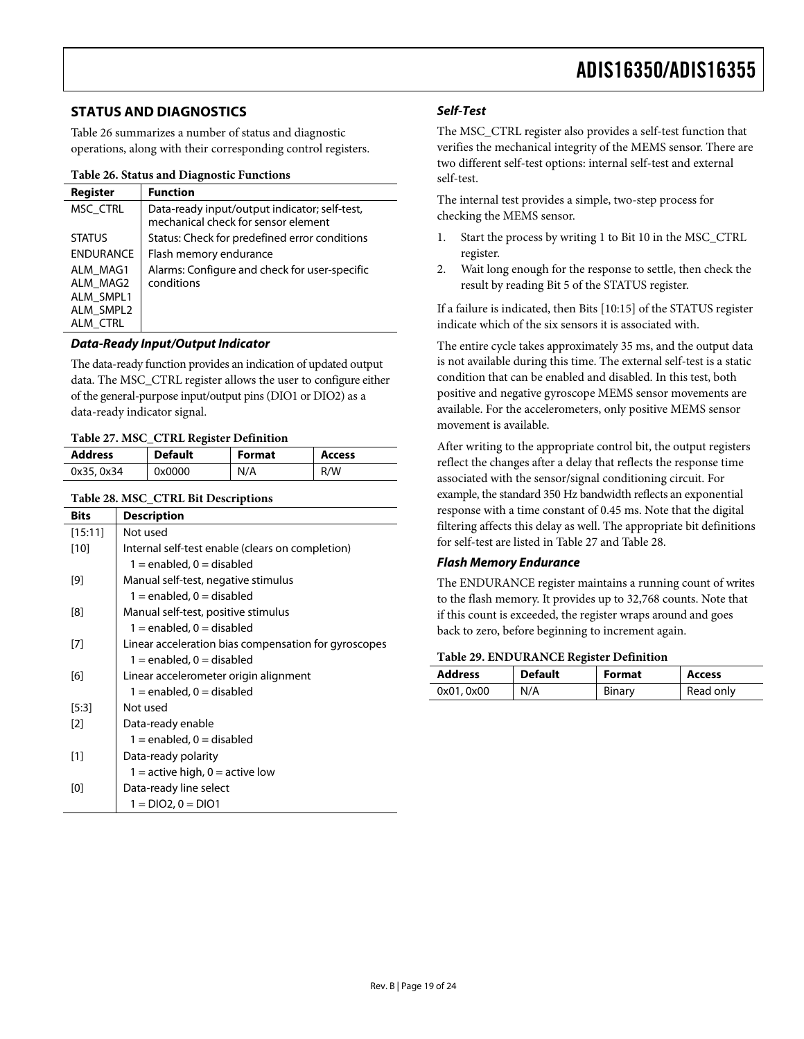#### <span id="page-18-0"></span>**STATUS AND DIAGNOSTICS**

[Table 26](#page-18-4) summarizes a number of status and diagnostic operations, along with their corresponding control registers.

#### **Table 26. Status and Diagnostic Functions**

<span id="page-18-4"></span>

| Register                                                   | <b>Function</b>                                                                      |
|------------------------------------------------------------|--------------------------------------------------------------------------------------|
| MSC CTRL                                                   | Data-ready input/output indicator; self-test,<br>mechanical check for sensor element |
| <b>STATUS</b>                                              | Status: Check for predefined error conditions                                        |
| <b>ENDURANCE</b>                                           | Flash memory endurance                                                               |
| ALM MAG1<br>ALM MAG2<br>ALM SMPL1<br>ALM SMPL2<br>ALM CTRL | Alarms: Configure and check for user-specific<br>conditions                          |

#### **Data-Ready Input/Output Indicator**

The data-ready function provides an indication of updated output data. The MSC\_CTRL register allows the user to configure either of the general-purpose input/output pins (DIO1 or DIO2) as a data-ready indicator signal.

#### **Table 27. MSC\_CTRL Register Definition**

<span id="page-18-2"></span>

| <b>Address</b> | <b>Default</b> | Format | <b>Access</b> |  |
|----------------|----------------|--------|---------------|--|
| 0x35, 0x34     | 0x0000         | N/A    | R/W           |  |

#### **Table 28. MSC\_CTRL Bit Descriptions**

<span id="page-18-3"></span><span id="page-18-1"></span>

| <b>Bits</b> | <b>Description</b>                                   |
|-------------|------------------------------------------------------|
| [15:11]     | Not used                                             |
| [10]        | Internal self-test enable (clears on completion)     |
|             | $1 =$ enabled, $0 =$ disabled                        |
| [9]         | Manual self-test, negative stimulus                  |
|             | $1 =$ enabled, 0 = disabled                          |
| [8]         | Manual self-test, positive stimulus                  |
|             | $1 =$ enabled, $0 =$ disabled                        |
| [7]         | Linear acceleration bias compensation for gyroscopes |
|             | $1 =$ enabled, $0 =$ disabled                        |
| [6]         | Linear accelerometer origin alignment                |
|             | $1 =$ enabled, 0 = disabled                          |
| [5:3]       | Not used                                             |
| $[2]$       | Data-ready enable                                    |
|             | $1 =$ enabled, $0 =$ disabled                        |
| $[1]$       | Data-ready polarity                                  |
|             | 1 = active high, $0 =$ active low                    |
| [0]         | Data-ready line select                               |
|             | 1 = DIO2, 0 = DIO1                                   |

#### **Self-Test**

The MSC\_CTRL register also provides a self-test function that verifies the mechanical integrity of the MEMS sensor. There are two different self-test options: internal self-test and external self-test.

The internal test provides a simple, two-step process for checking the MEMS sensor.

- 1. Start the process by writing 1 to Bit 10 in the MSC\_CTRL register.
- 2. Wait long enough for the response to settle, then check the result by reading Bit 5 of the STATUS register.

If a failure is indicated, then Bits [10:15] of the STATUS register indicate which of the six sensors it is associated with.

The entire cycle takes approximately 35 ms, and the output data is not available during this time. The external self-test is a static condition that can be enabled and disabled. In this test, both positive and negative gyroscope MEMS sensor movements are available. For the accelerometers, only positive MEMS sensor movement is available.

After writing to the appropriate control bit, the output registers reflect the changes after a delay that reflects the response time associated with the sensor/signal conditioning circuit. For example, the standard 350 Hz bandwidth reflects an exponential response with a time constant of 0.45 ms. Note that the digital filtering affects this delay as well. The appropriate bit definitions for self-test are listed in [Table 27](#page-18-2) and [Table 28](#page-18-3).

#### **Flash Memory Endurance**

The ENDURANCE register maintains a running count of writes to the flash memory. It provides up to 32,768 counts. Note that if this count is exceeded, the register wraps around and goes back to zero, before beginning to increment again.

#### **Table 29. ENDURANCE Register Definition**

| <b>Address</b> | <b>Default</b> | <b>Format</b> | <b>Access</b> |
|----------------|----------------|---------------|---------------|
| 0x01, 0x00     | N/A            | Binary        | Read only     |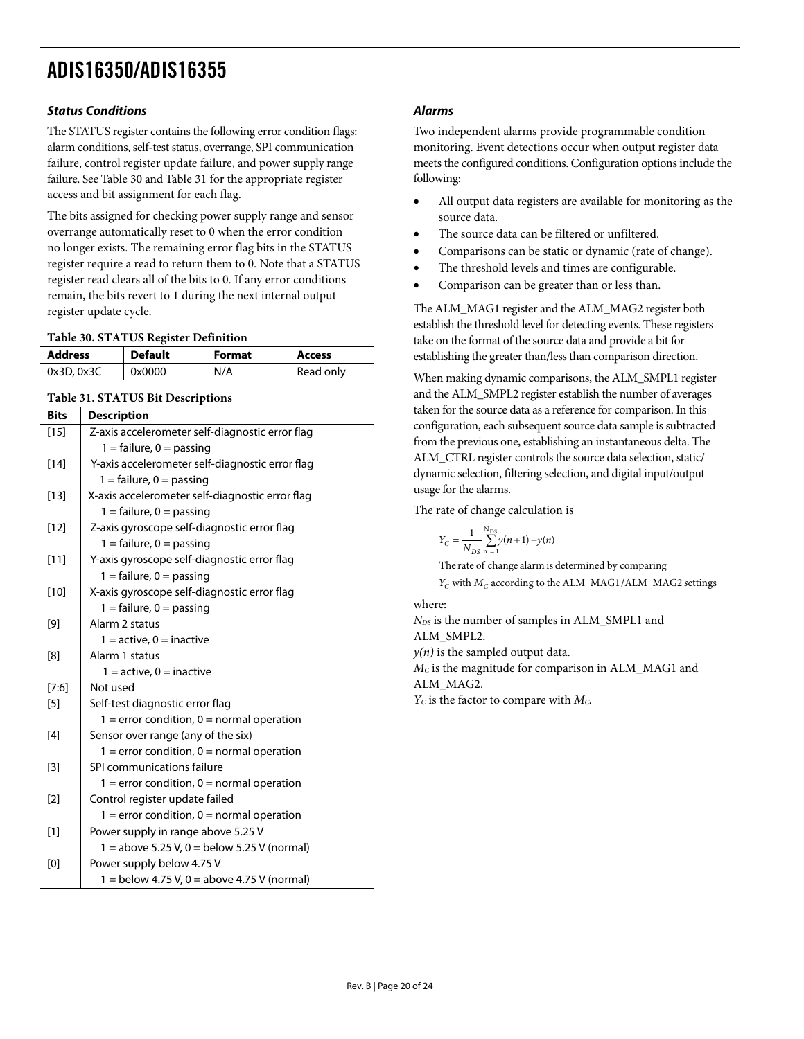#### **Status Conditions**

The STATUS register contains the following error condition flags: alarm conditions, self-test status, overrange, SPI communication failure, control register update failure, and power supply range failure. See [Table 30](#page-19-0) and [Table 31](#page-19-1) for the appropriate register access and bit assignment for each flag.

The bits assigned for checking power supply range and sensor overrange automatically reset to 0 when the error condition no longer exists. The remaining error flag bits in the STATUS register require a read to return them to 0. Note that a STATUS register read clears all of the bits to 0. If any error conditions remain, the bits revert to 1 during the next internal output register update cycle.

#### **Table 30. STATUS Register Definition**

<span id="page-19-0"></span>

| <b>Address</b> | <b>Default</b> | <b>Format</b> | <b>Access</b> |
|----------------|----------------|---------------|---------------|
| 0x3D, 0x3C     | 0x0000         | N/A           | Read only     |

#### **Table 31. STATUS Bit Descriptions**

<span id="page-19-1"></span>

| <b>Bits</b> | <b>Description</b>                              |
|-------------|-------------------------------------------------|
| $[15]$      | Z-axis accelerometer self-diagnostic error flag |
|             | $1 =$ failure, $0 =$ passing                    |
| $[14]$      | Y-axis accelerometer self-diagnostic error flag |
|             | $1 =$ failure, $0 =$ passing                    |
| $[13]$      | X-axis accelerometer self-diagnostic error flag |
|             | $1 =$ failure, $0 =$ passing                    |
| $[12]$      | Z-axis gyroscope self-diagnostic error flag     |
|             | $1 =$ failure, $0 =$ passing                    |
| $[11]$      | Y-axis gyroscope self-diagnostic error flag     |
|             | $1 =$ failure, $0 =$ passing                    |
| $[10]$      | X-axis gyroscope self-diagnostic error flag     |
|             | $1 =$ failure, $0 =$ passing                    |
| [9]         | Alarm 2 status                                  |
|             | $1 =$ active, $0 =$ inactive                    |
| [8]         | Alarm 1 status                                  |
|             | $1 =$ active, $0 =$ inactive                    |
| [7:6]       | Not used                                        |
| $[5]$       | Self-test diagnostic error flag                 |
|             | $1 =$ error condition, $0 =$ normal operation   |
| $[4]$       | Sensor over range (any of the six)              |
|             | $1 =$ error condition, $0 =$ normal operation   |
| $[3]$       | SPI communications failure                      |
|             | $1 =$ error condition, $0 =$ normal operation   |
| [2]         | Control register update failed                  |
|             | $1 =$ error condition, $0 =$ normal operation   |
| $[1]$       | Power supply in range above 5.25 V              |
|             | $1 =$ above 5.25 V, 0 = below 5.25 V (normal)   |
| [0]         | Power supply below 4.75 V                       |
|             | $1 =$ below 4.75 V, 0 = above 4.75 V (normal)   |

#### **Alarms**

Two independent alarms provide programmable condition monitoring. Event detections occur when output register data meets the configured conditions. Configuration options include the following:

- All output data registers are available for monitoring as the source data.
- The source data can be filtered or unfiltered.
- Comparisons can be static or dynamic (rate of change).
- The threshold levels and times are configurable.
- Comparison can be greater than or less than.

The ALM\_MAG1 register and the ALM\_MAG2 register both establish the threshold level for detecting events. These registers take on the format of the source data and provide a bit for establishing the greater than/less than comparison direction.

When making dynamic comparisons, the ALM\_SMPL1 register and the ALM\_SMPL2 register establish the number of averages taken for the source data as a reference for comparison. In this configuration, each subsequent source data sample is subtracted from the previous one, establishing an instantaneous delta. The ALM\_CTRL register controls the source data selection, static/ dynamic selection, filtering selection, and digital input/output usage for the alarms.

The rate of change calculation is

$$
Y_C = \frac{1}{N_{DS}} \sum_{n=1}^{N_{DS}} y(n+1) - y(n)
$$

 $Y_C$  with  $M_C$  according to the ALM\_MAG1/ALM\_MAG2 settings The rate of change alarm is determined by comparing

where:

 $N_{DS}$  is the number of samples in ALM\_SMPL1 and ALM\_SMPL2.  $y(n)$  is the sampled output data. *MC* is the magnitude for comparison in ALM\_MAG1 and ALM\_MAG2.  $Y_C$  is the factor to compare with  $M_C$ .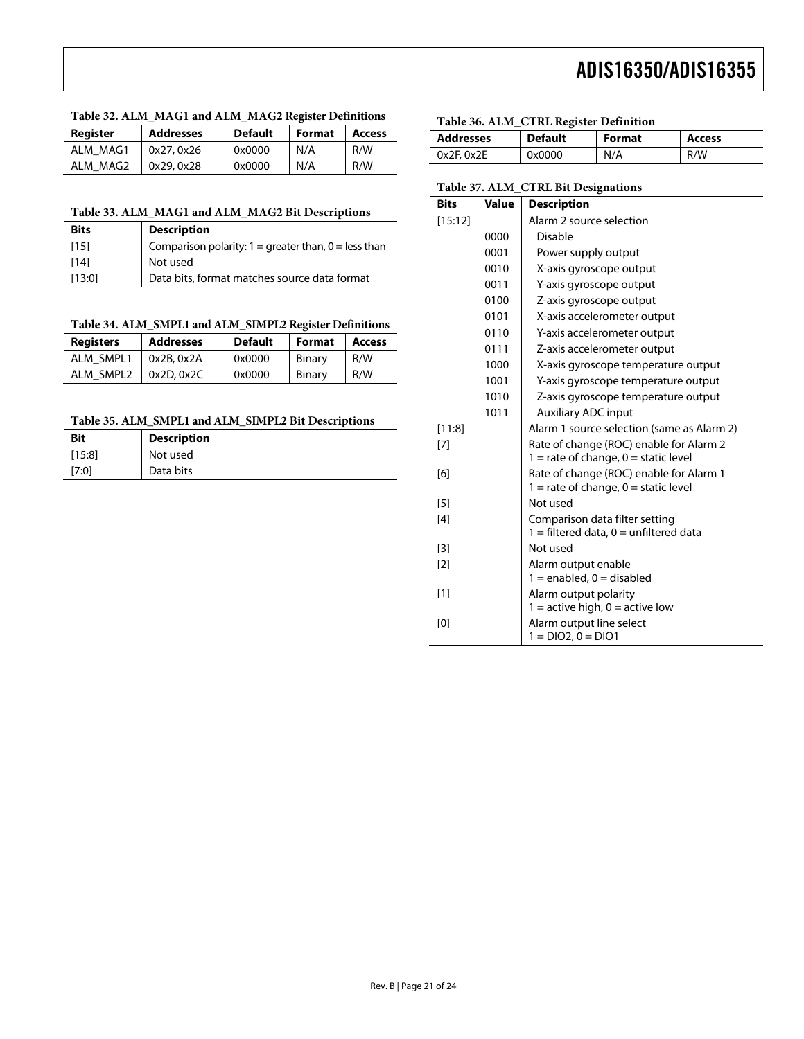#### **Table 32. ALM\_MAG1 and ALM\_MAG2 Register Definitions**

<span id="page-20-0"></span>

| <b>Reaister</b> | <b>Addresses</b> | <b>Default</b> | Format | <b>Access</b> |
|-----------------|------------------|----------------|--------|---------------|
| ALM MAG1        | 0x27, 0x26       | 0x0000         | N/A    | R/W           |
| ALM MAG2        | 0x29, 0x28       | 0x0000         | N/A    | R/W           |

#### <span id="page-20-5"></span>**Table 33. ALM\_MAG1 and ALM\_MAG2 Bit Descriptions**

<span id="page-20-1"></span>

| <b>Bits</b> | <b>Description</b>                                       |
|-------------|----------------------------------------------------------|
| [15]        | Comparison polarity: $1 =$ greater than, $0 =$ less than |
| [14]        | Not used                                                 |
| [13:0]      | Data bits, format matches source data format             |

#### **Table 34. ALM\_SMPL1 and ALM\_SIMPL2 Register Definitions**

<span id="page-20-2"></span>

| <b>Registers</b> | <b>Addresses</b> | <b>Default</b> | Format | <b>Access</b> |
|------------------|------------------|----------------|--------|---------------|
| ALM SMPL1        | 0x2B, 0x2A       | 0x0000         | Binary | R/W           |
| ALM SMPL2        | 0x2D, 0x2C       | 0x0000         | Binary | R/W           |

#### **Table 35. ALM\_SMPL1 and ALM\_SIMPL2 Bit Descriptions**

<span id="page-20-4"></span><span id="page-20-3"></span>

| <b>Bit</b> | <b>Description</b> |
|------------|--------------------|
| [15:8]     | Not used           |
| [7:0]      | Data bits          |

#### **Table 36. ALM\_CTRL Register Definition**

| <b>Addresses</b> | <b>Default</b> | Format | <b>Access</b> |
|------------------|----------------|--------|---------------|
| $0x2F$ , $0x2E$  | 0x0000         | N/A    | R/W           |

#### **Table 37. ALM\_CTRL Bit Designations**

| <b>Bits</b> | Value | <b>Description</b>                                                                  |
|-------------|-------|-------------------------------------------------------------------------------------|
| [15:12]     |       | Alarm 2 source selection                                                            |
|             | 0000  | <b>Disable</b>                                                                      |
|             | 0001  | Power supply output                                                                 |
|             | 0010  | X-axis gyroscope output                                                             |
|             | 0011  | Y-axis gyroscope output                                                             |
|             | 0100  | Z-axis gyroscope output                                                             |
|             | 0101  | X-axis accelerometer output                                                         |
|             | 0110  | Y-axis accelerometer output                                                         |
|             | 0111  | Z-axis accelerometer output                                                         |
|             | 1000  | X-axis gyroscope temperature output                                                 |
|             | 1001  | Y-axis gyroscope temperature output                                                 |
|             | 1010  | Z-axis gyroscope temperature output                                                 |
|             | 1011  | <b>Auxiliary ADC input</b>                                                          |
| [11:8]      |       | Alarm 1 source selection (same as Alarm 2)                                          |
| [7]         |       | Rate of change (ROC) enable for Alarm 2<br>$1 =$ rate of change, $0 =$ static level |
| [6]         |       | Rate of change (ROC) enable for Alarm 1                                             |
|             |       | $1 =$ rate of change, $0 =$ static level                                            |
| [5]         |       | Not used                                                                            |
| [4]         |       | Comparison data filter setting<br>$1 =$ filtered data, $0 =$ unfiltered data        |
| $[3]$       |       | Not used                                                                            |
| $[2]$       |       | Alarm output enable<br>$1 =$ enabled, $0 =$ disabled                                |
| [1]         |       | Alarm output polarity<br>$1 =$ active high, $0 =$ active low                        |
| [0]         |       | Alarm output line select<br>$1 = DIO2, 0 = DIO1$                                    |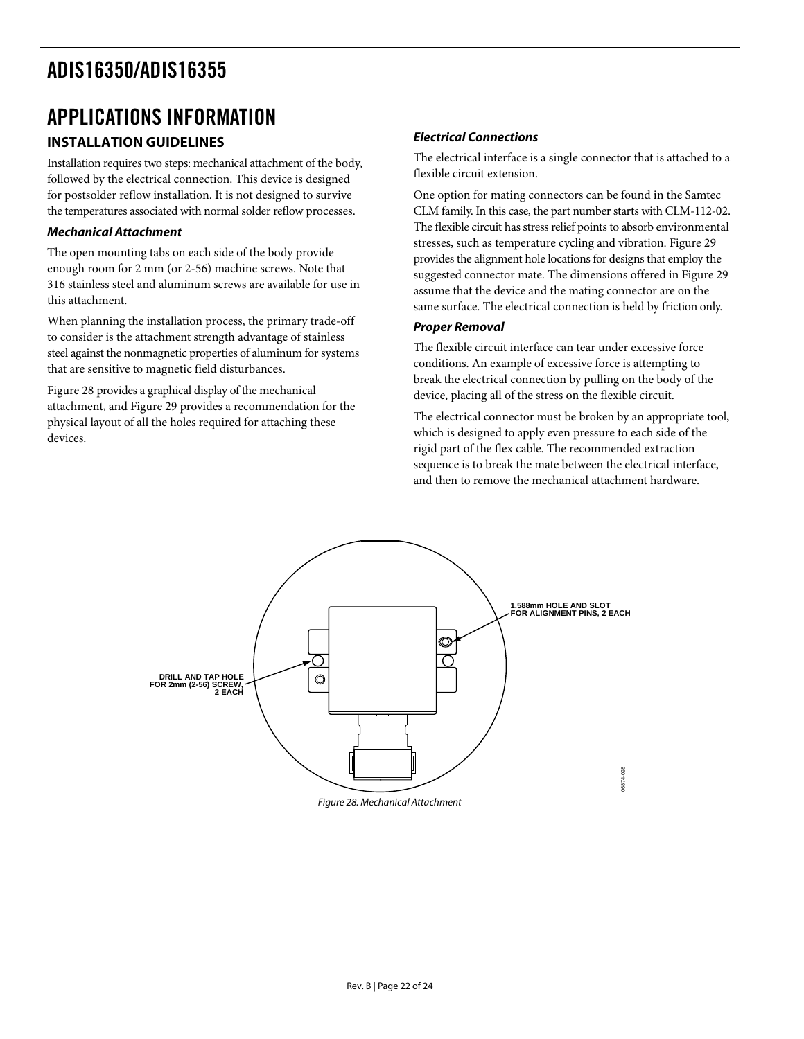### <span id="page-21-0"></span>APPLICATIONS INFORMATION

### **Electrical Connections INSTALLATION GUIDELINES**

Installation requires two steps: mechanical attachment of the body,<br>
Selling all he body flexible circuit extension. followed by the electrical connection. This device is designed for postsolder reflow installation. It is not designed to survive the temperatures associated with normal solder reflow processes.

#### **Mechanical Attachment**

The open mounting tabs on each side of the body provide enough room for 2 mm (or 2-56) machine screws. Note that 316 stainless steel and aluminum screws are available for use in this attachment.

When planning the installation process, the primary trade-off to consider is the attachment strength advantage of stainless steel against the nonmagnetic properties of aluminum for systems that are sensitive to magnetic field disturbances.

[Figure 28](#page-21-1) provides a graphical display of the mechanical device, placing all of the stress on the flexible circuit. attachment, and [Figure 29](#page-22-0) provides a recommendation for the physical layout of all the holes required for attaching these devices.

The electrical interface is a single connector that is attached to a

One option for mating connectors can be found in the Samtec CLM family. In this case, the part number starts with CLM-112-02. The flexible circuit has stress relief points to absorb environmental stresses, such as temperature cycling and vibration. [Figure 29](#page-22-0) provides the alignment hole locations for designs that employ the suggested connector mate. The dimensions offered in [Figure 29](#page-22-0) assume that the device and the mating connector are on the same surface. The electrical connection is held by friction only.

#### **Proper Removal**

The flexible circuit interface can tear under excessive force conditions. An example of excessive force is attempting to break the electrical connection by pulling on the body of the

The electrical connector must be broken by an appropriate tool, which is designed to apply even pressure to each side of the rigid part of the flex cable. The recommended extraction sequence is to break the mate between the electrical interface, and then to remove the mechanical attachment hardware.

<span id="page-21-1"></span>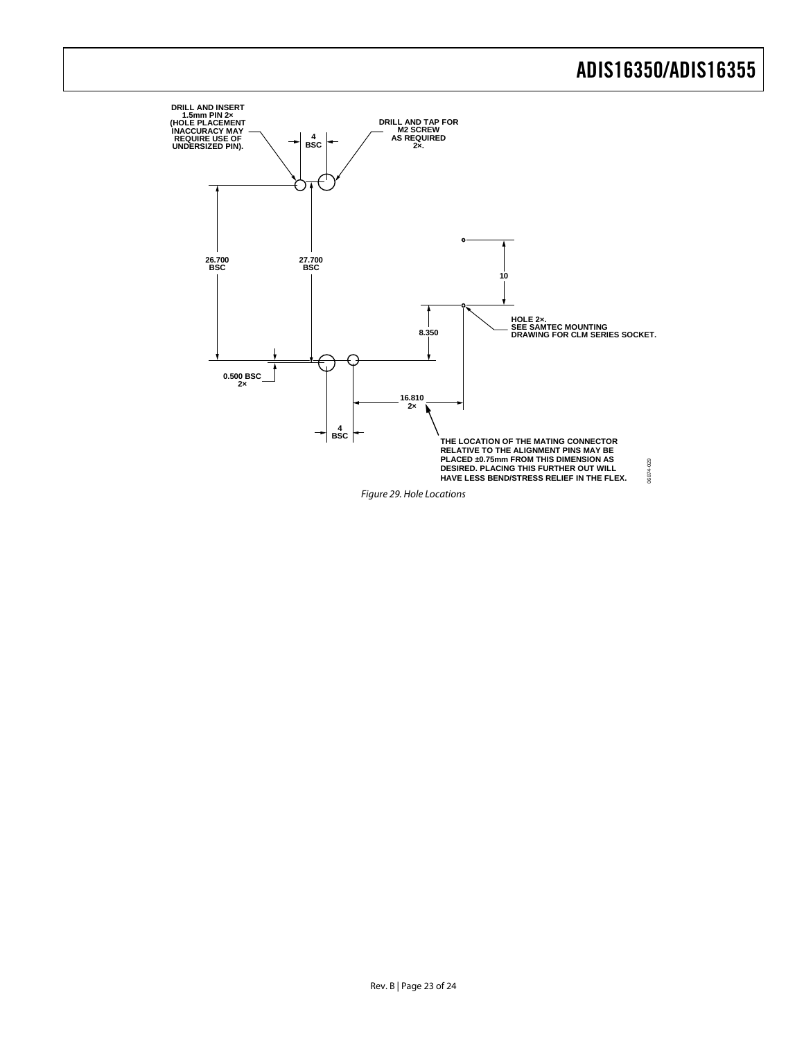<span id="page-22-0"></span>